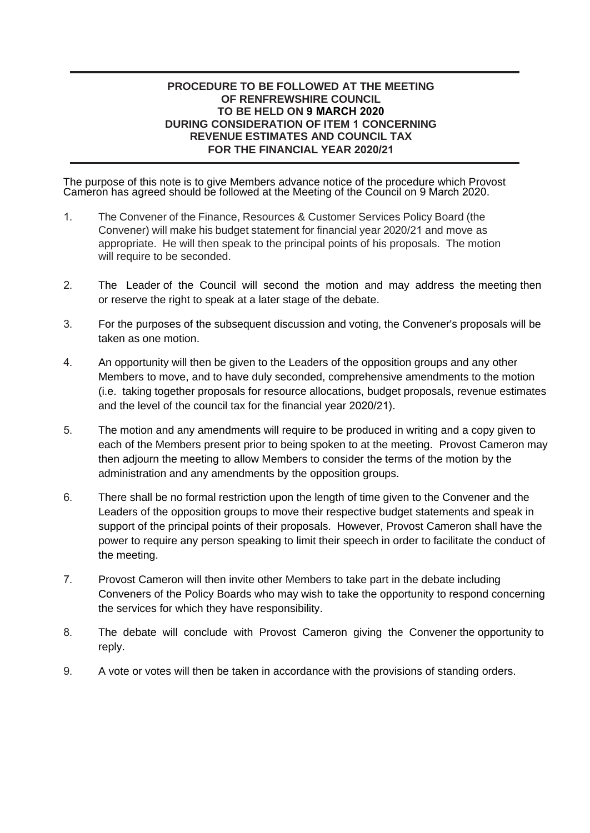#### **PROCEDURE TO BE FOLLOWED AT THE MEETING OF RENFREWSHIRE COUNCIL TO BE HELD ON 9 MARCH 2020 DURING CONSIDERATION OF ITEM 1 CONCERNING REVENUE ESTIMATES AND COUNCIL TAX FOR THE FINANCIAL YEAR 2020/21**

The purpose of this note is to give Members advance notice of the procedure which Provost Cameron has agreed should be followed at the Meeting of the Council on 9 March 2020.

- 1. The Convener of the Finance, Resources & Customer Services Policy Board (the Convener) will make his budget statement for financial year 2020/21 and move as appropriate. He will then speak to the principal points of his proposals. The motion will require to be seconded.
- 2. The Leader of the Council will second the motion and may address the meeting then or reserve the right to speak at a later stage of the debate.
- 3. For the purposes of the subsequent discussion and voting, the Convener's proposals will be taken as one motion.
- 4. An opportunity will then be given to the Leaders of the opposition groups and any other Members to move, and to have duly seconded, comprehensive amendments to the motion (i.e. taking together proposals for resource allocations, budget proposals, revenue estimates and the level of the council tax for the financial year 2020/21).
- 5. The motion and any amendments will require to be produced in writing and a copy given to each of the Members present prior to being spoken to at the meeting. Provost Cameron may then adjourn the meeting to allow Members to consider the terms of the motion by the administration and any amendments by the opposition groups.
- 6. There shall be no formal restriction upon the length of time given to the Convener and the Leaders of the opposition groups to move their respective budget statements and speak in support of the principal points of their proposals. However, Provost Cameron shall have the power to require any person speaking to limit their speech in order to facilitate the conduct of the meeting.
- 7. Provost Cameron will then invite other Members to take part in the debate including Conveners of the Policy Boards who may wish to take the opportunity to respond concerning the services for which they have responsibility.
- 8. The debate will conclude with Provost Cameron giving the Convener the opportunity to reply.
- 9. A vote or votes will then be taken in accordance with the provisions of standing orders.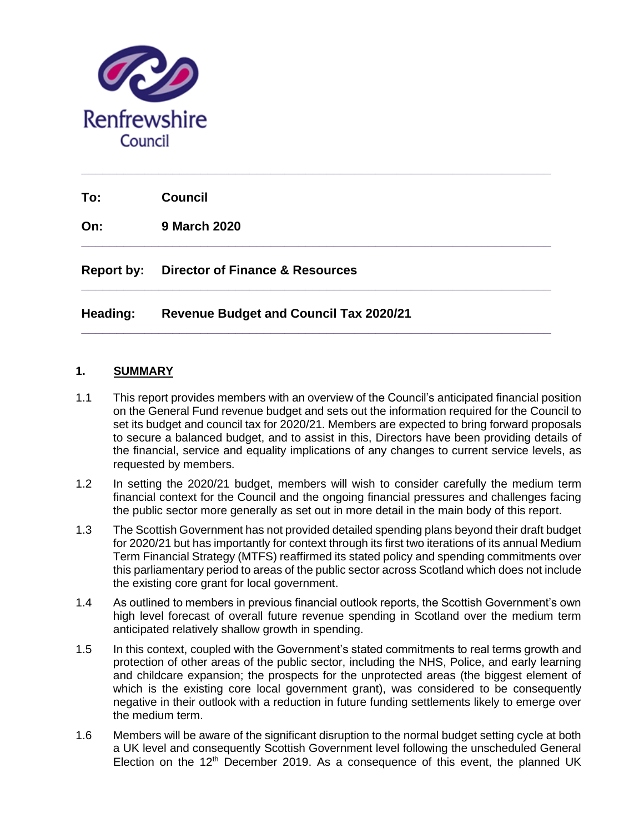

**To: Council**

**On: 9 March 2020**

**Report by: Director of Finance & Resources**

## **Heading: Revenue Budget and Council Tax 2020/21**

#### **1. SUMMARY**

1.1 This report provides members with an overview of the Council's anticipated financial position on the General Fund revenue budget and sets out the information required for the Council to set its budget and council tax for 2020/21. Members are expected to bring forward proposals to secure a balanced budget, and to assist in this, Directors have been providing details of the financial, service and equality implications of any changes to current service levels, as requested by members.

**\_\_\_\_\_\_\_\_\_\_\_\_\_\_\_\_\_\_\_\_\_\_\_\_\_\_\_\_\_\_\_\_\_\_\_\_\_\_\_\_\_\_\_\_\_\_\_\_\_\_\_\_\_\_\_\_\_\_\_\_\_\_\_\_\_\_\_**

**\_\_\_\_\_\_\_\_\_\_\_\_\_\_\_\_\_\_\_\_\_\_\_\_\_\_\_\_\_\_\_\_\_\_\_\_\_\_\_\_\_\_\_\_\_\_\_\_\_\_\_\_\_\_\_\_\_\_\_\_\_\_\_\_\_\_\_**

**\_\_\_\_\_\_\_\_\_\_\_\_\_\_\_\_\_\_\_\_\_\_\_\_\_\_\_\_\_\_\_\_\_\_\_\_\_\_\_\_\_\_\_\_\_\_\_\_\_\_\_\_\_\_\_\_\_\_\_\_\_\_\_\_\_\_\_**

**\_\_\_\_\_\_\_\_\_\_\_\_\_\_\_\_\_\_\_\_\_\_\_\_\_\_\_\_\_\_\_\_\_\_\_\_\_\_\_\_\_\_\_\_\_\_\_\_\_\_\_\_\_\_\_\_\_\_\_\_\_\_\_\_\_\_\_**

- 1.2 In setting the 2020/21 budget, members will wish to consider carefully the medium term financial context for the Council and the ongoing financial pressures and challenges facing the public sector more generally as set out in more detail in the main body of this report.
- 1.3 The Scottish Government has not provided detailed spending plans beyond their draft budget for 2020/21 but has importantly for context through its first two iterations of its annual Medium Term Financial Strategy (MTFS) reaffirmed its stated policy and spending commitments over this parliamentary period to areas of the public sector across Scotland which does not include the existing core grant for local government.
- 1.4 As outlined to members in previous financial outlook reports, the Scottish Government's own high level forecast of overall future revenue spending in Scotland over the medium term anticipated relatively shallow growth in spending.
- 1.5 In this context, coupled with the Government's stated commitments to real terms growth and protection of other areas of the public sector, including the NHS, Police, and early learning and childcare expansion; the prospects for the unprotected areas (the biggest element of which is the existing core local government grant), was considered to be consequently negative in their outlook with a reduction in future funding settlements likely to emerge over the medium term.
- 1.6 Members will be aware of the significant disruption to the normal budget setting cycle at both a UK level and consequently Scottish Government level following the unscheduled General Election on the  $12<sup>th</sup>$  December 2019. As a consequence of this event, the planned UK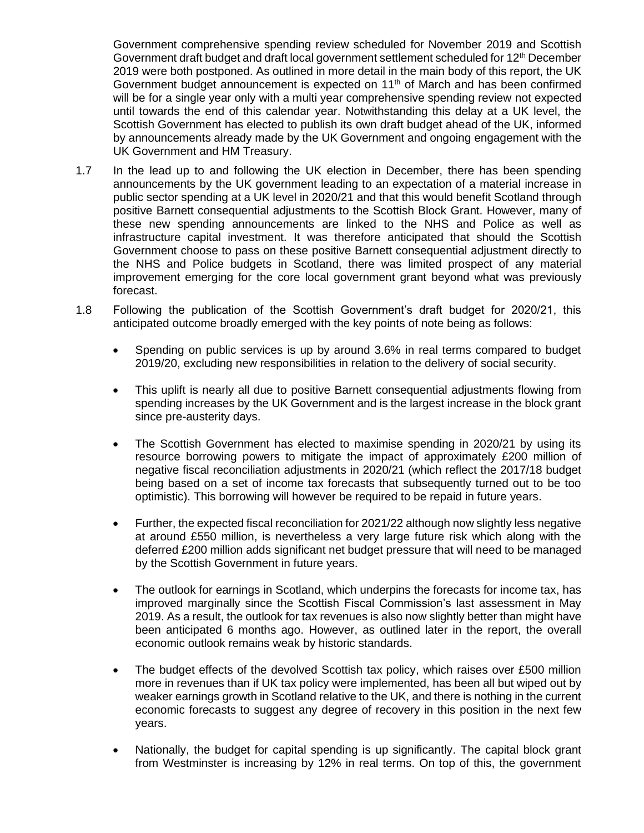Government comprehensive spending review scheduled for November 2019 and Scottish Government draft budget and draft local government settlement scheduled for 12<sup>th</sup> December 2019 were both postponed. As outlined in more detail in the main body of this report, the UK Government budget announcement is expected on  $11<sup>th</sup>$  of March and has been confirmed will be for a single year only with a multi year comprehensive spending review not expected until towards the end of this calendar year. Notwithstanding this delay at a UK level, the Scottish Government has elected to publish its own draft budget ahead of the UK, informed by announcements already made by the UK Government and ongoing engagement with the UK Government and HM Treasury.

- 1.7 In the lead up to and following the UK election in December, there has been spending announcements by the UK government leading to an expectation of a material increase in public sector spending at a UK level in 2020/21 and that this would benefit Scotland through positive Barnett consequential adjustments to the Scottish Block Grant. However, many of these new spending announcements are linked to the NHS and Police as well as infrastructure capital investment. It was therefore anticipated that should the Scottish Government choose to pass on these positive Barnett consequential adjustment directly to the NHS and Police budgets in Scotland, there was limited prospect of any material improvement emerging for the core local government grant beyond what was previously forecast.
- 1.8 Following the publication of the Scottish Government's draft budget for 2020/21, this anticipated outcome broadly emerged with the key points of note being as follows:
	- Spending on public services is up by around 3.6% in real terms compared to budget 2019/20, excluding new responsibilities in relation to the delivery of social security.
	- This uplift is nearly all due to positive Barnett consequential adjustments flowing from spending increases by the UK Government and is the largest increase in the block grant since pre-austerity days.
	- The Scottish Government has elected to maximise spending in 2020/21 by using its resource borrowing powers to mitigate the impact of approximately £200 million of negative fiscal reconciliation adjustments in 2020/21 (which reflect the 2017/18 budget being based on a set of income tax forecasts that subsequently turned out to be too optimistic). This borrowing will however be required to be repaid in future years.
	- Further, the expected fiscal reconciliation for 2021/22 although now slightly less negative at around £550 million, is nevertheless a very large future risk which along with the deferred £200 million adds significant net budget pressure that will need to be managed by the Scottish Government in future years.
	- The outlook for earnings in Scotland, which underpins the forecasts for income tax, has improved marginally since the Scottish Fiscal Commission's last assessment in May 2019. As a result, the outlook for tax revenues is also now slightly better than might have been anticipated 6 months ago. However, as outlined later in the report, the overall economic outlook remains weak by historic standards.
	- The budget effects of the devolved Scottish tax policy, which raises over £500 million more in revenues than if UK tax policy were implemented, has been all but wiped out by weaker earnings growth in Scotland relative to the UK, and there is nothing in the current economic forecasts to suggest any degree of recovery in this position in the next few years.
	- Nationally, the budget for capital spending is up significantly. The capital block grant from Westminster is increasing by 12% in real terms. On top of this, the government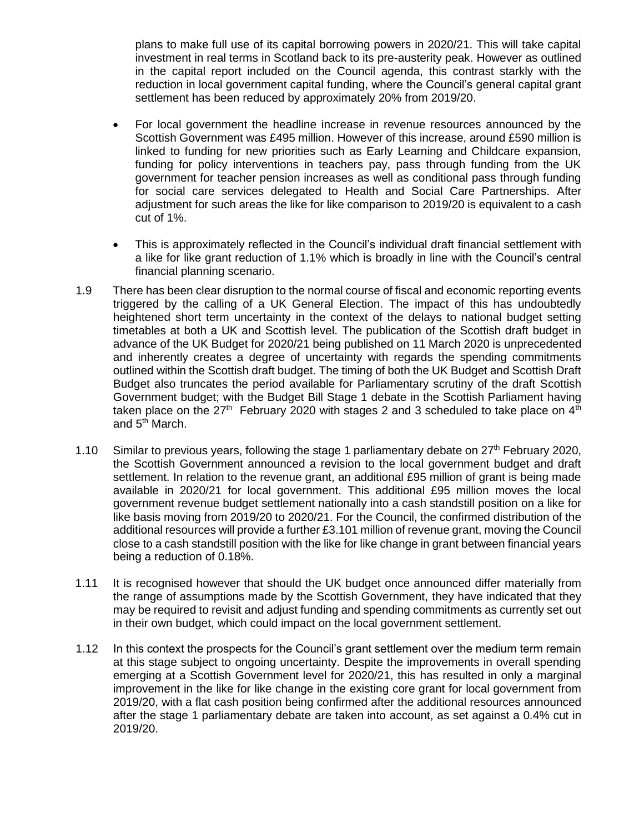plans to make full use of its capital borrowing powers in 2020/21. This will take capital investment in real terms in Scotland back to its pre-austerity peak. However as outlined in the capital report included on the Council agenda, this contrast starkly with the reduction in local government capital funding, where the Council's general capital grant settlement has been reduced by approximately 20% from 2019/20.

- For local government the headline increase in revenue resources announced by the Scottish Government was £495 million. However of this increase, around £590 million is linked to funding for new priorities such as Early Learning and Childcare expansion, funding for policy interventions in teachers pay, pass through funding from the UK government for teacher pension increases as well as conditional pass through funding for social care services delegated to Health and Social Care Partnerships. After adjustment for such areas the like for like comparison to 2019/20 is equivalent to a cash cut of 1%.
- This is approximately reflected in the Council's individual draft financial settlement with a like for like grant reduction of 1.1% which is broadly in line with the Council's central financial planning scenario.
- 1.9 There has been clear disruption to the normal course of fiscal and economic reporting events triggered by the calling of a UK General Election. The impact of this has undoubtedly heightened short term uncertainty in the context of the delays to national budget setting timetables at both a UK and Scottish level. The publication of the Scottish draft budget in advance of the UK Budget for 2020/21 being published on 11 March 2020 is unprecedented and inherently creates a degree of uncertainty with regards the spending commitments outlined within the Scottish draft budget. The timing of both the UK Budget and Scottish Draft Budget also truncates the period available for Parliamentary scrutiny of the draft Scottish Government budget; with the Budget Bill Stage 1 debate in the Scottish Parliament having taken place on the  $27<sup>th</sup>$  February 2020 with stages 2 and 3 scheduled to take place on  $4<sup>th</sup>$ and 5<sup>th</sup> March.
- 1.10 Similar to previous years, following the stage 1 parliamentary debate on  $27<sup>th</sup>$  February 2020, the Scottish Government announced a revision to the local government budget and draft settlement. In relation to the revenue grant, an additional £95 million of grant is being made available in 2020/21 for local government. This additional £95 million moves the local government revenue budget settlement nationally into a cash standstill position on a like for like basis moving from 2019/20 to 2020/21. For the Council, the confirmed distribution of the additional resources will provide a further £3.101 million of revenue grant, moving the Council close to a cash standstill position with the like for like change in grant between financial years being a reduction of 0.18%.
- 1.11 It is recognised however that should the UK budget once announced differ materially from the range of assumptions made by the Scottish Government, they have indicated that they may be required to revisit and adjust funding and spending commitments as currently set out in their own budget, which could impact on the local government settlement.
- 1.12 In this context the prospects for the Council's grant settlement over the medium term remain at this stage subject to ongoing uncertainty. Despite the improvements in overall spending emerging at a Scottish Government level for 2020/21, this has resulted in only a marginal improvement in the like for like change in the existing core grant for local government from 2019/20, with a flat cash position being confirmed after the additional resources announced after the stage 1 parliamentary debate are taken into account, as set against a 0.4% cut in 2019/20.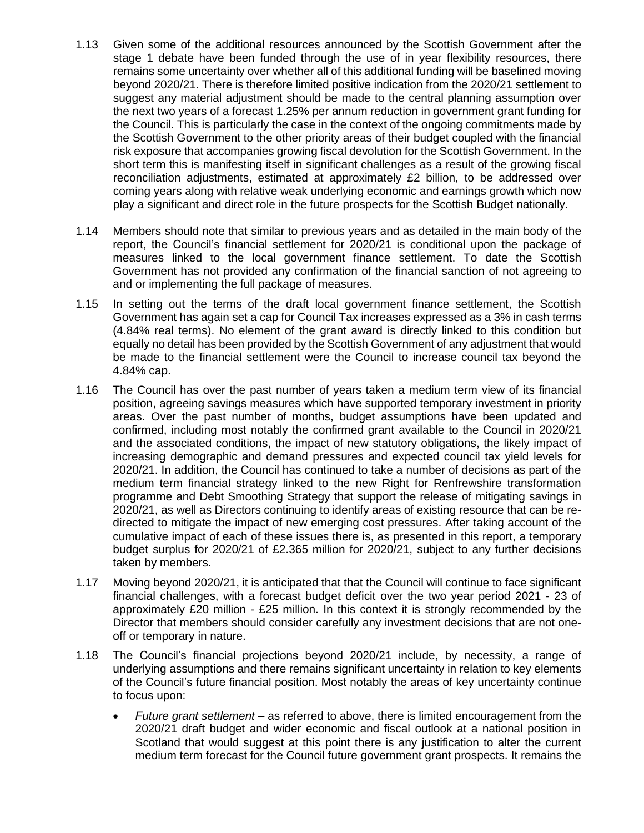- 1.13 Given some of the additional resources announced by the Scottish Government after the stage 1 debate have been funded through the use of in year flexibility resources, there remains some uncertainty over whether all of this additional funding will be baselined moving beyond 2020/21. There is therefore limited positive indication from the 2020/21 settlement to suggest any material adjustment should be made to the central planning assumption over the next two years of a forecast 1.25% per annum reduction in government grant funding for the Council. This is particularly the case in the context of the ongoing commitments made by the Scottish Government to the other priority areas of their budget coupled with the financial risk exposure that accompanies growing fiscal devolution for the Scottish Government. In the short term this is manifesting itself in significant challenges as a result of the growing fiscal reconciliation adjustments, estimated at approximately £2 billion, to be addressed over coming years along with relative weak underlying economic and earnings growth which now play a significant and direct role in the future prospects for the Scottish Budget nationally.
- 1.14 Members should note that similar to previous years and as detailed in the main body of the report, the Council's financial settlement for 2020/21 is conditional upon the package of measures linked to the local government finance settlement. To date the Scottish Government has not provided any confirmation of the financial sanction of not agreeing to and or implementing the full package of measures.
- 1.15 In setting out the terms of the draft local government finance settlement, the Scottish Government has again set a cap for Council Tax increases expressed as a 3% in cash terms (4.84% real terms). No element of the grant award is directly linked to this condition but equally no detail has been provided by the Scottish Government of any adjustment that would be made to the financial settlement were the Council to increase council tax beyond the 4.84% cap.
- 1.16 The Council has over the past number of years taken a medium term view of its financial position, agreeing savings measures which have supported temporary investment in priority areas. Over the past number of months, budget assumptions have been updated and confirmed, including most notably the confirmed grant available to the Council in 2020/21 and the associated conditions, the impact of new statutory obligations, the likely impact of increasing demographic and demand pressures and expected council tax yield levels for 2020/21. In addition, the Council has continued to take a number of decisions as part of the medium term financial strategy linked to the new Right for Renfrewshire transformation programme and Debt Smoothing Strategy that support the release of mitigating savings in 2020/21, as well as Directors continuing to identify areas of existing resource that can be redirected to mitigate the impact of new emerging cost pressures. After taking account of the cumulative impact of each of these issues there is, as presented in this report, a temporary budget surplus for 2020/21 of £2.365 million for 2020/21, subject to any further decisions taken by members.
- 1.17 Moving beyond 2020/21, it is anticipated that that the Council will continue to face significant financial challenges, with a forecast budget deficit over the two year period 2021 - 23 of approximately £20 million - £25 million. In this context it is strongly recommended by the Director that members should consider carefully any investment decisions that are not oneoff or temporary in nature.
- 1.18 The Council's financial projections beyond 2020/21 include, by necessity, a range of underlying assumptions and there remains significant uncertainty in relation to key elements of the Council's future financial position. Most notably the areas of key uncertainty continue to focus upon:
	- *Future grant settlement* as referred to above, there is limited encouragement from the 2020/21 draft budget and wider economic and fiscal outlook at a national position in Scotland that would suggest at this point there is any justification to alter the current medium term forecast for the Council future government grant prospects. It remains the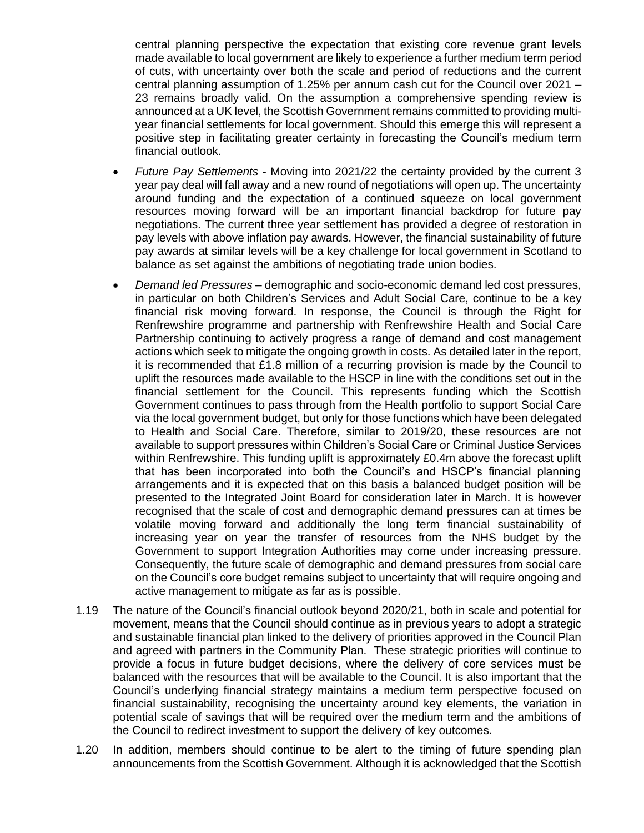central planning perspective the expectation that existing core revenue grant levels made available to local government are likely to experience a further medium term period of cuts, with uncertainty over both the scale and period of reductions and the current central planning assumption of 1.25% per annum cash cut for the Council over 2021 – 23 remains broadly valid. On the assumption a comprehensive spending review is announced at a UK level, the Scottish Government remains committed to providing multiyear financial settlements for local government. Should this emerge this will represent a positive step in facilitating greater certainty in forecasting the Council's medium term financial outlook.

- *Future Pay Settlements* Moving into 2021/22 the certainty provided by the current 3 year pay deal will fall away and a new round of negotiations will open up. The uncertainty around funding and the expectation of a continued squeeze on local government resources moving forward will be an important financial backdrop for future pay negotiations. The current three year settlement has provided a degree of restoration in pay levels with above inflation pay awards. However, the financial sustainability of future pay awards at similar levels will be a key challenge for local government in Scotland to balance as set against the ambitions of negotiating trade union bodies.
- *Demand led Pressures* demographic and socio-economic demand led cost pressures, in particular on both Children's Services and Adult Social Care, continue to be a key financial risk moving forward. In response, the Council is through the Right for Renfrewshire programme and partnership with Renfrewshire Health and Social Care Partnership continuing to actively progress a range of demand and cost management actions which seek to mitigate the ongoing growth in costs. As detailed later in the report, it is recommended that £1.8 million of a recurring provision is made by the Council to uplift the resources made available to the HSCP in line with the conditions set out in the financial settlement for the Council. This represents funding which the Scottish Government continues to pass through from the Health portfolio to support Social Care via the local government budget, but only for those functions which have been delegated to Health and Social Care. Therefore, similar to 2019/20, these resources are not available to support pressures within Children's Social Care or Criminal Justice Services within Renfrewshire. This funding uplift is approximately £0.4m above the forecast uplift that has been incorporated into both the Council's and HSCP's financial planning arrangements and it is expected that on this basis a balanced budget position will be presented to the Integrated Joint Board for consideration later in March. It is however recognised that the scale of cost and demographic demand pressures can at times be volatile moving forward and additionally the long term financial sustainability of increasing year on year the transfer of resources from the NHS budget by the Government to support Integration Authorities may come under increasing pressure. Consequently, the future scale of demographic and demand pressures from social care on the Council's core budget remains subject to uncertainty that will require ongoing and active management to mitigate as far as is possible.
- 1.19 The nature of the Council's financial outlook beyond 2020/21, both in scale and potential for movement, means that the Council should continue as in previous years to adopt a strategic and sustainable financial plan linked to the delivery of priorities approved in the Council Plan and agreed with partners in the Community Plan. These strategic priorities will continue to provide a focus in future budget decisions, where the delivery of core services must be balanced with the resources that will be available to the Council. It is also important that the Council's underlying financial strategy maintains a medium term perspective focused on financial sustainability, recognising the uncertainty around key elements, the variation in potential scale of savings that will be required over the medium term and the ambitions of the Council to redirect investment to support the delivery of key outcomes.
- 1.20 In addition, members should continue to be alert to the timing of future spending plan announcements from the Scottish Government. Although it is acknowledged that the Scottish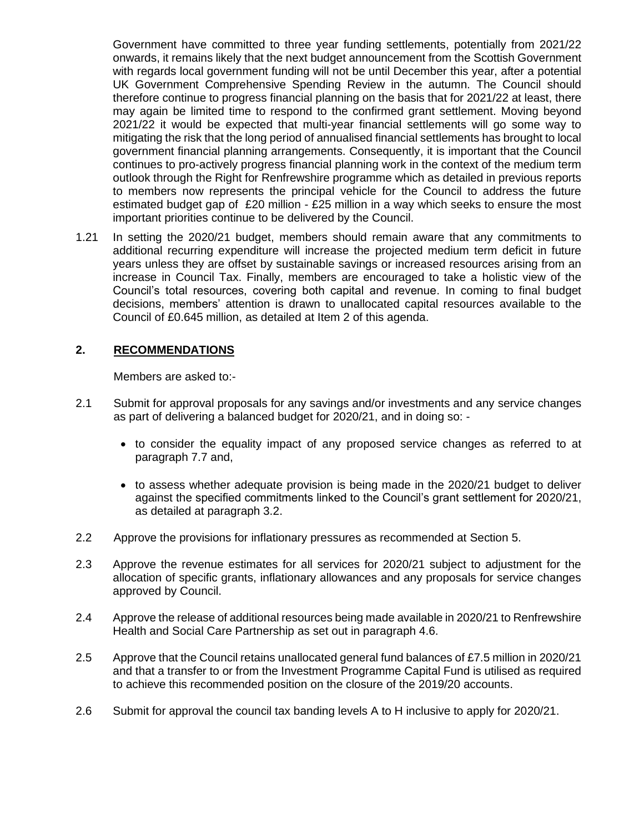Government have committed to three year funding settlements, potentially from 2021/22 onwards, it remains likely that the next budget announcement from the Scottish Government with regards local government funding will not be until December this year, after a potential UK Government Comprehensive Spending Review in the autumn. The Council should therefore continue to progress financial planning on the basis that for 2021/22 at least, there may again be limited time to respond to the confirmed grant settlement. Moving beyond 2021/22 it would be expected that multi-year financial settlements will go some way to mitigating the risk that the long period of annualised financial settlements has brought to local government financial planning arrangements. Consequently, it is important that the Council continues to pro-actively progress financial planning work in the context of the medium term outlook through the Right for Renfrewshire programme which as detailed in previous reports to members now represents the principal vehicle for the Council to address the future estimated budget gap of £20 million - £25 million in a way which seeks to ensure the most important priorities continue to be delivered by the Council.

1.21 In setting the 2020/21 budget, members should remain aware that any commitments to additional recurring expenditure will increase the projected medium term deficit in future years unless they are offset by sustainable savings or increased resources arising from an increase in Council Tax. Finally, members are encouraged to take a holistic view of the Council's total resources, covering both capital and revenue. In coming to final budget decisions, members' attention is drawn to unallocated capital resources available to the Council of £0.645 million, as detailed at Item 2 of this agenda.

#### **2. RECOMMENDATIONS**

Members are asked to:-

- 2.1 Submit for approval proposals for any savings and/or investments and any service changes as part of delivering a balanced budget for 2020/21, and in doing so: -
	- to consider the equality impact of any proposed service changes as referred to at paragraph 7.7 and,
	- to assess whether adequate provision is being made in the 2020/21 budget to deliver against the specified commitments linked to the Council's grant settlement for 2020/21, as detailed at paragraph 3.2.
- 2.2 Approve the provisions for inflationary pressures as recommended at Section 5.
- 2.3 Approve the revenue estimates for all services for 2020/21 subject to adjustment for the allocation of specific grants, inflationary allowances and any proposals for service changes approved by Council.
- 2.4 Approve the release of additional resources being made available in 2020/21 to Renfrewshire Health and Social Care Partnership as set out in paragraph 4.6.
- 2.5 Approve that the Council retains unallocated general fund balances of £7.5 million in 2020/21 and that a transfer to or from the Investment Programme Capital Fund is utilised as required to achieve this recommended position on the closure of the 2019/20 accounts.
- 2.6 Submit for approval the council tax banding levels A to H inclusive to apply for 2020/21.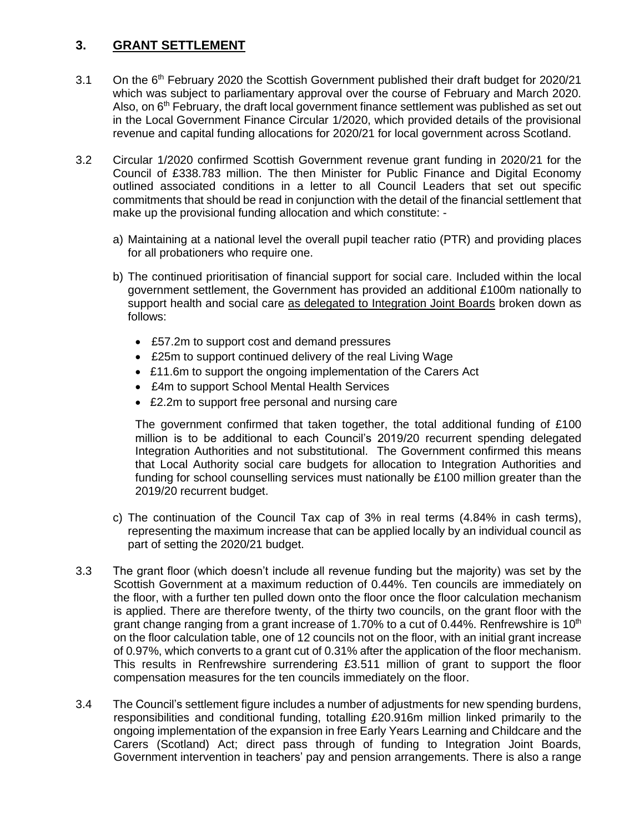# **3. GRANT SETTLEMENT**

- 3.1 On the 6<sup>th</sup> February 2020 the Scottish Government published their draft budget for 2020/21 which was subject to parliamentary approval over the course of February and March 2020. Also, on  $6<sup>th</sup>$  February, the draft local government finance settlement was published as set out in the Local Government Finance Circular 1/2020, which provided details of the provisional revenue and capital funding allocations for 2020/21 for local government across Scotland.
- 3.2 Circular 1/2020 confirmed Scottish Government revenue grant funding in 2020/21 for the Council of £338.783 million. The then Minister for Public Finance and Digital Economy outlined associated conditions in a letter to all Council Leaders that set out specific commitments that should be read in conjunction with the detail of the financial settlement that make up the provisional funding allocation and which constitute:
	- a) Maintaining at a national level the overall pupil teacher ratio (PTR) and providing places for all probationers who require one.
	- b) The continued prioritisation of financial support for social care. Included within the local government settlement, the Government has provided an additional £100m nationally to support health and social care as delegated to Integration Joint Boards broken down as follows:
		- £57.2m to support cost and demand pressures
		- £25m to support continued delivery of the real Living Wage
		- £11.6m to support the ongoing implementation of the Carers Act
		- £4m to support School Mental Health Services
		- £2.2m to support free personal and nursing care

The government confirmed that taken together, the total additional funding of £100 million is to be additional to each Council's 2019/20 recurrent spending delegated Integration Authorities and not substitutional. The Government confirmed this means that Local Authority social care budgets for allocation to Integration Authorities and funding for school counselling services must nationally be £100 million greater than the 2019/20 recurrent budget.

- c) The continuation of the Council Tax cap of 3% in real terms (4.84% in cash terms), representing the maximum increase that can be applied locally by an individual council as part of setting the 2020/21 budget.
- 3.3 The grant floor (which doesn't include all revenue funding but the majority) was set by the Scottish Government at a maximum reduction of 0.44%. Ten councils are immediately on the floor, with a further ten pulled down onto the floor once the floor calculation mechanism is applied. There are therefore twenty, of the thirty two councils, on the grant floor with the grant change ranging from a grant increase of 1.70% to a cut of 0.44%. Renfrewshire is 10<sup>th</sup> on the floor calculation table, one of 12 councils not on the floor, with an initial grant increase of 0.97%, which converts to a grant cut of 0.31% after the application of the floor mechanism. This results in Renfrewshire surrendering £3.511 million of grant to support the floor compensation measures for the ten councils immediately on the floor.
- 3.4 The Council's settlement figure includes a number of adjustments for new spending burdens, responsibilities and conditional funding, totalling £20.916m million linked primarily to the ongoing implementation of the expansion in free Early Years Learning and Childcare and the Carers (Scotland) Act; direct pass through of funding to Integration Joint Boards, Government intervention in teachers' pay and pension arrangements. There is also a range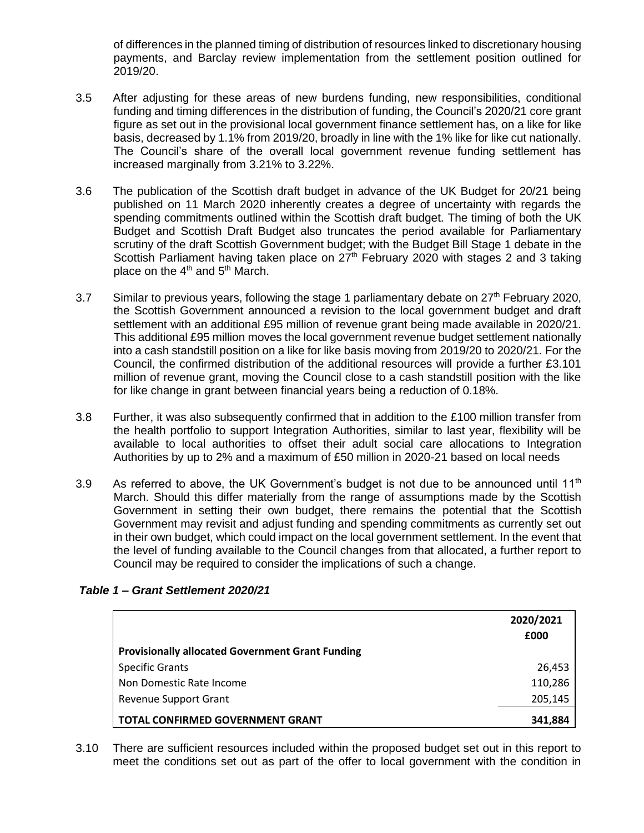of differences in the planned timing of distribution of resources linked to discretionary housing payments, and Barclay review implementation from the settlement position outlined for 2019/20.

- 3.5 After adjusting for these areas of new burdens funding, new responsibilities, conditional funding and timing differences in the distribution of funding, the Council's 2020/21 core grant figure as set out in the provisional local government finance settlement has, on a like for like basis, decreased by 1.1% from 2019/20, broadly in line with the 1% like for like cut nationally. The Council's share of the overall local government revenue funding settlement has increased marginally from 3.21% to 3.22%.
- 3.6 The publication of the Scottish draft budget in advance of the UK Budget for 20/21 being published on 11 March 2020 inherently creates a degree of uncertainty with regards the spending commitments outlined within the Scottish draft budget. The timing of both the UK Budget and Scottish Draft Budget also truncates the period available for Parliamentary scrutiny of the draft Scottish Government budget; with the Budget Bill Stage 1 debate in the Scottish Parliament having taken place on  $27<sup>th</sup>$  February 2020 with stages 2 and 3 taking place on the  $4<sup>th</sup>$  and  $5<sup>th</sup>$  March.
- 3.7 Similar to previous years, following the stage 1 parliamentary debate on  $27<sup>th</sup>$  February 2020, the Scottish Government announced a revision to the local government budget and draft settlement with an additional £95 million of revenue grant being made available in 2020/21. This additional £95 million moves the local government revenue budget settlement nationally into a cash standstill position on a like for like basis moving from 2019/20 to 2020/21. For the Council, the confirmed distribution of the additional resources will provide a further £3.101 million of revenue grant, moving the Council close to a cash standstill position with the like for like change in grant between financial years being a reduction of 0.18%.
- 3.8 Further, it was also subsequently confirmed that in addition to the £100 million transfer from the health portfolio to support Integration Authorities, similar to last year, flexibility will be available to local authorities to offset their adult social care allocations to Integration Authorities by up to 2% and a maximum of £50 million in 2020-21 based on local needs
- 3.9 As referred to above, the UK Government's budget is not due to be announced until 11<sup>th</sup> March. Should this differ materially from the range of assumptions made by the Scottish Government in setting their own budget, there remains the potential that the Scottish Government may revisit and adjust funding and spending commitments as currently set out in their own budget, which could impact on the local government settlement. In the event that the level of funding available to the Council changes from that allocated, a further report to Council may be required to consider the implications of such a change.

|                                                         | 2020/2021<br>£000 |
|---------------------------------------------------------|-------------------|
| <b>Provisionally allocated Government Grant Funding</b> |                   |
| <b>Specific Grants</b>                                  | 26,453            |
| Non Domestic Rate Income                                | 110,286           |
| <b>Revenue Support Grant</b>                            | 205,145           |
| <b>TOTAL CONFIRMED GOVERNMENT GRANT</b>                 | 341,884           |

## *Table 1 – Grant Settlement 2020/21*

3.10 There are sufficient resources included within the proposed budget set out in this report to meet the conditions set out as part of the offer to local government with the condition in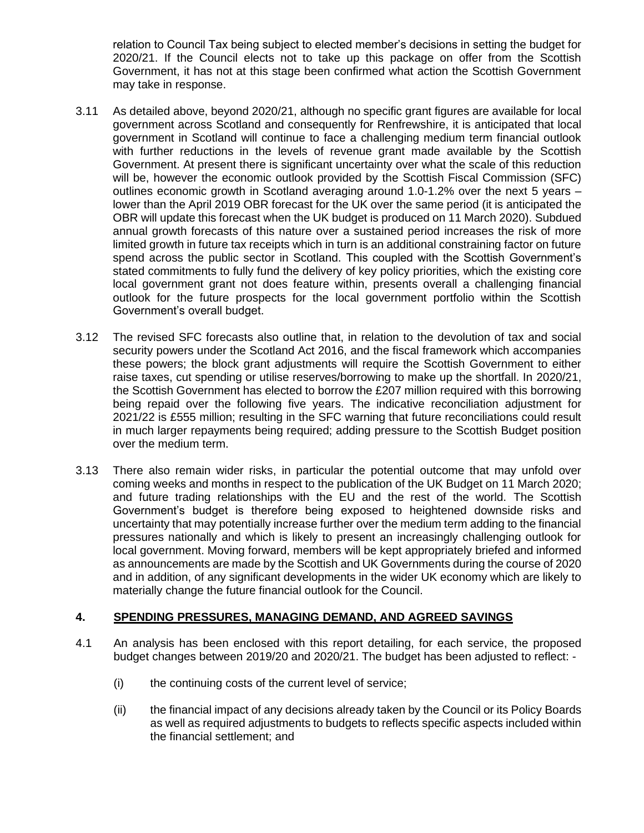relation to Council Tax being subject to elected member's decisions in setting the budget for 2020/21. If the Council elects not to take up this package on offer from the Scottish Government, it has not at this stage been confirmed what action the Scottish Government may take in response.

- 3.11 As detailed above, beyond 2020/21, although no specific grant figures are available for local government across Scotland and consequently for Renfrewshire, it is anticipated that local government in Scotland will continue to face a challenging medium term financial outlook with further reductions in the levels of revenue grant made available by the Scottish Government. At present there is significant uncertainty over what the scale of this reduction will be, however the economic outlook provided by the Scottish Fiscal Commission (SFC) outlines economic growth in Scotland averaging around 1.0-1.2% over the next 5 years – lower than the April 2019 OBR forecast for the UK over the same period (it is anticipated the OBR will update this forecast when the UK budget is produced on 11 March 2020). Subdued annual growth forecasts of this nature over a sustained period increases the risk of more limited growth in future tax receipts which in turn is an additional constraining factor on future spend across the public sector in Scotland. This coupled with the Scottish Government's stated commitments to fully fund the delivery of key policy priorities, which the existing core local government grant not does feature within, presents overall a challenging financial outlook for the future prospects for the local government portfolio within the Scottish Government's overall budget.
- 3.12 The revised SFC forecasts also outline that, in relation to the devolution of tax and social security powers under the Scotland Act 2016, and the fiscal framework which accompanies these powers; the block grant adjustments will require the Scottish Government to either raise taxes, cut spending or utilise reserves/borrowing to make up the shortfall. In 2020/21, the Scottish Government has elected to borrow the £207 million required with this borrowing being repaid over the following five years. The indicative reconciliation adjustment for 2021/22 is £555 million; resulting in the SFC warning that future reconciliations could result in much larger repayments being required; adding pressure to the Scottish Budget position over the medium term.
- 3.13 There also remain wider risks, in particular the potential outcome that may unfold over coming weeks and months in respect to the publication of the UK Budget on 11 March 2020; and future trading relationships with the EU and the rest of the world. The Scottish Government's budget is therefore being exposed to heightened downside risks and uncertainty that may potentially increase further over the medium term adding to the financial pressures nationally and which is likely to present an increasingly challenging outlook for local government. Moving forward, members will be kept appropriately briefed and informed as announcements are made by the Scottish and UK Governments during the course of 2020 and in addition, of any significant developments in the wider UK economy which are likely to materially change the future financial outlook for the Council.

#### **4. SPENDING PRESSURES, MANAGING DEMAND, AND AGREED SAVINGS**

- 4.1 An analysis has been enclosed with this report detailing, for each service, the proposed budget changes between 2019/20 and 2020/21. The budget has been adjusted to reflect: -
	- (i) the continuing costs of the current level of service;
	- (ii) the financial impact of any decisions already taken by the Council or its Policy Boards as well as required adjustments to budgets to reflects specific aspects included within the financial settlement; and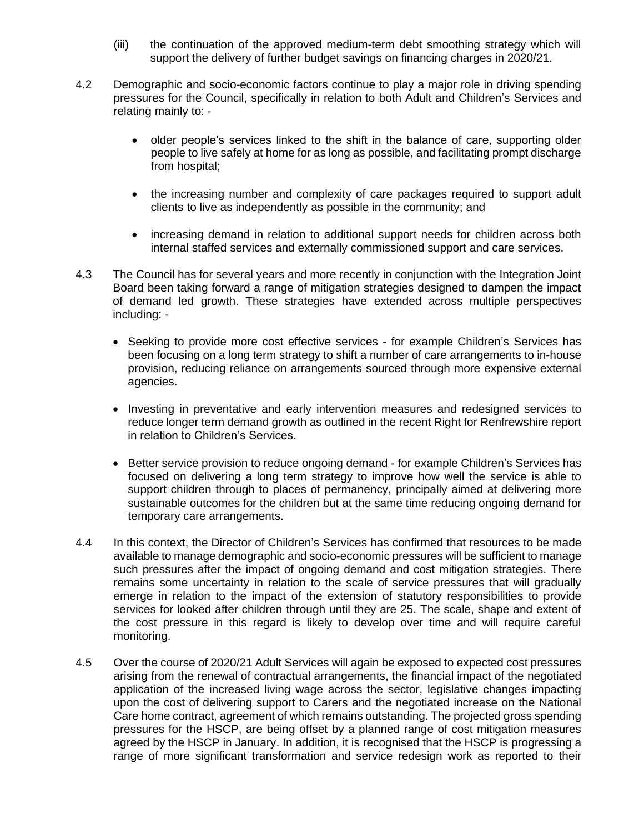- (iii) the continuation of the approved medium-term debt smoothing strategy which will support the delivery of further budget savings on financing charges in 2020/21.
- 4.2 Demographic and socio-economic factors continue to play a major role in driving spending pressures for the Council, specifically in relation to both Adult and Children's Services and relating mainly to: -
	- older people's services linked to the shift in the balance of care, supporting older people to live safely at home for as long as possible, and facilitating prompt discharge from hospital;
	- the increasing number and complexity of care packages required to support adult clients to live as independently as possible in the community; and
	- increasing demand in relation to additional support needs for children across both internal staffed services and externally commissioned support and care services.
- 4.3 The Council has for several years and more recently in conjunction with the Integration Joint Board been taking forward a range of mitigation strategies designed to dampen the impact of demand led growth. These strategies have extended across multiple perspectives including: -
	- Seeking to provide more cost effective services for example Children's Services has been focusing on a long term strategy to shift a number of care arrangements to in-house provision, reducing reliance on arrangements sourced through more expensive external agencies.
	- Investing in preventative and early intervention measures and redesigned services to reduce longer term demand growth as outlined in the recent Right for Renfrewshire report in relation to Children's Services.
	- Better service provision to reduce ongoing demand for example Children's Services has focused on delivering a long term strategy to improve how well the service is able to support children through to places of permanency, principally aimed at delivering more sustainable outcomes for the children but at the same time reducing ongoing demand for temporary care arrangements.
- 4.4 In this context, the Director of Children's Services has confirmed that resources to be made available to manage demographic and socio-economic pressures will be sufficient to manage such pressures after the impact of ongoing demand and cost mitigation strategies. There remains some uncertainty in relation to the scale of service pressures that will gradually emerge in relation to the impact of the extension of statutory responsibilities to provide services for looked after children through until they are 25. The scale, shape and extent of the cost pressure in this regard is likely to develop over time and will require careful monitoring.
- 4.5 Over the course of 2020/21 Adult Services will again be exposed to expected cost pressures arising from the renewal of contractual arrangements, the financial impact of the negotiated application of the increased living wage across the sector, legislative changes impacting upon the cost of delivering support to Carers and the negotiated increase on the National Care home contract, agreement of which remains outstanding. The projected gross spending pressures for the HSCP, are being offset by a planned range of cost mitigation measures agreed by the HSCP in January. In addition, it is recognised that the HSCP is progressing a range of more significant transformation and service redesign work as reported to their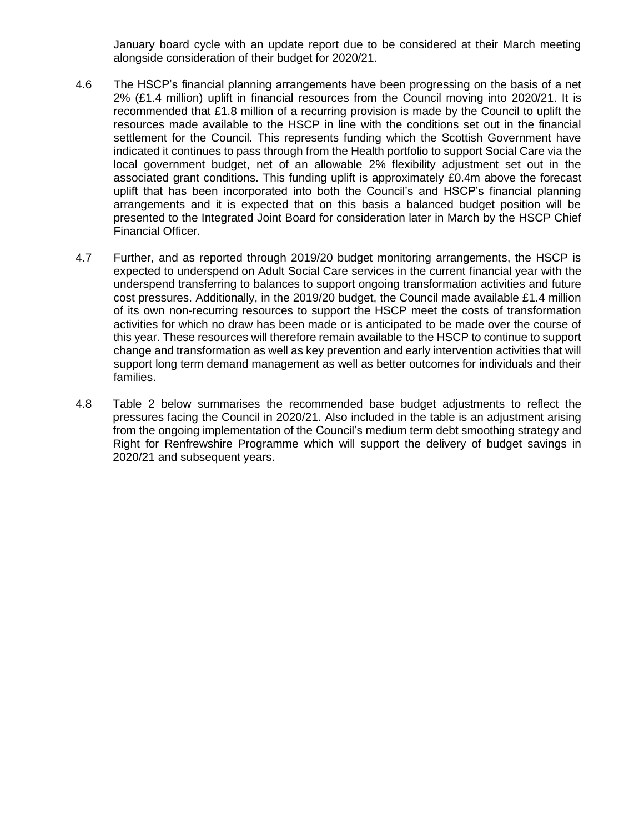January board cycle with an update report due to be considered at their March meeting alongside consideration of their budget for 2020/21.

- 4.6 The HSCP's financial planning arrangements have been progressing on the basis of a net 2% (£1.4 million) uplift in financial resources from the Council moving into 2020/21. It is recommended that £1.8 million of a recurring provision is made by the Council to uplift the resources made available to the HSCP in line with the conditions set out in the financial settlement for the Council. This represents funding which the Scottish Government have indicated it continues to pass through from the Health portfolio to support Social Care via the local government budget, net of an allowable 2% flexibility adjustment set out in the associated grant conditions. This funding uplift is approximately £0.4m above the forecast uplift that has been incorporated into both the Council's and HSCP's financial planning arrangements and it is expected that on this basis a balanced budget position will be presented to the Integrated Joint Board for consideration later in March by the HSCP Chief Financial Officer.
- 4.7 Further, and as reported through 2019/20 budget monitoring arrangements, the HSCP is expected to underspend on Adult Social Care services in the current financial year with the underspend transferring to balances to support ongoing transformation activities and future cost pressures. Additionally, in the 2019/20 budget, the Council made available £1.4 million of its own non-recurring resources to support the HSCP meet the costs of transformation activities for which no draw has been made or is anticipated to be made over the course of this year. These resources will therefore remain available to the HSCP to continue to support change and transformation as well as key prevention and early intervention activities that will support long term demand management as well as better outcomes for individuals and their families.
- 4.8 Table 2 below summarises the recommended base budget adjustments to reflect the pressures facing the Council in 2020/21. Also included in the table is an adjustment arising from the ongoing implementation of the Council's medium term debt smoothing strategy and Right for Renfrewshire Programme which will support the delivery of budget savings in 2020/21 and subsequent years.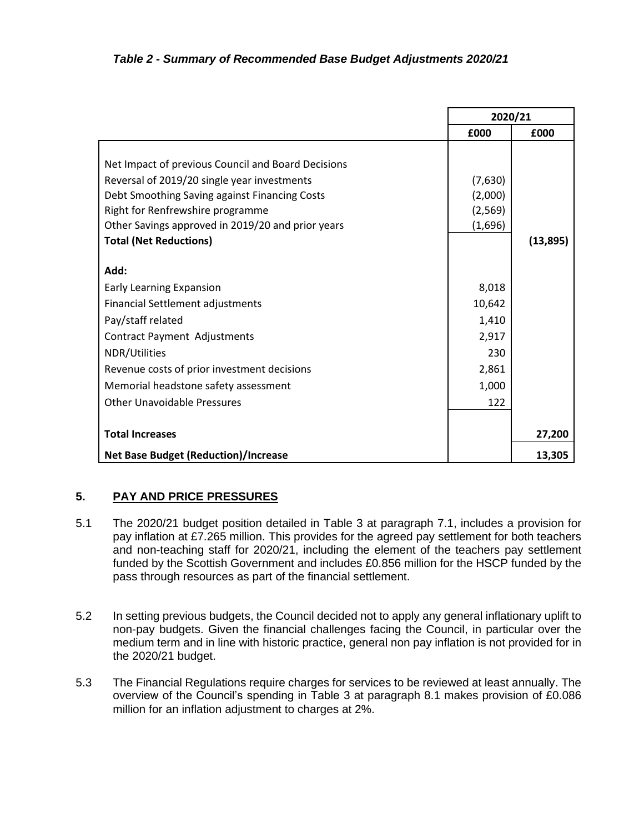|                                                    | 2020/21  |          |
|----------------------------------------------------|----------|----------|
|                                                    | £000     | £000     |
|                                                    |          |          |
| Net Impact of previous Council and Board Decisions |          |          |
| Reversal of 2019/20 single year investments        | (7,630)  |          |
| Debt Smoothing Saving against Financing Costs      | (2,000)  |          |
| Right for Renfrewshire programme                   | (2, 569) |          |
| Other Savings approved in 2019/20 and prior years  | (1,696)  |          |
| <b>Total (Net Reductions)</b>                      |          | (13,895) |
| Add:                                               |          |          |
| <b>Early Learning Expansion</b>                    | 8,018    |          |
| <b>Financial Settlement adjustments</b>            | 10,642   |          |
| Pay/staff related                                  | 1,410    |          |
| <b>Contract Payment Adjustments</b>                | 2,917    |          |
| NDR/Utilities                                      | 230      |          |
| Revenue costs of prior investment decisions        | 2,861    |          |
| Memorial headstone safety assessment               | 1,000    |          |
| <b>Other Unavoidable Pressures</b>                 | 122      |          |
|                                                    |          |          |
| <b>Total Increases</b>                             |          | 27,200   |
| <b>Net Base Budget (Reduction)/Increase</b>        |          | 13,305   |

## **5. PAY AND PRICE PRESSURES**

- 5.1 The 2020/21 budget position detailed in Table 3 at paragraph 7.1, includes a provision for pay inflation at £7.265 million. This provides for the agreed pay settlement for both teachers and non-teaching staff for 2020/21, including the element of the teachers pay settlement funded by the Scottish Government and includes £0.856 million for the HSCP funded by the pass through resources as part of the financial settlement.
- 5.2 In setting previous budgets, the Council decided not to apply any general inflationary uplift to non-pay budgets. Given the financial challenges facing the Council, in particular over the medium term and in line with historic practice, general non pay inflation is not provided for in the 2020/21 budget.
- 5.3 The Financial Regulations require charges for services to be reviewed at least annually. The overview of the Council's spending in Table 3 at paragraph 8.1 makes provision of £0.086 million for an inflation adjustment to charges at 2%.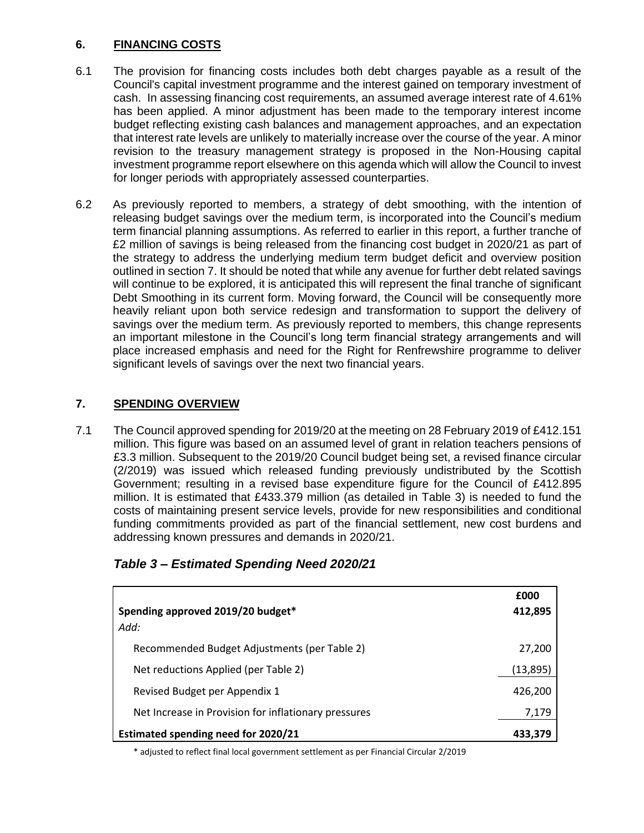## **6. FINANCING COSTS**

- 6.1 The provision for financing costs includes both debt charges payable as a result of the Council's capital investment programme and the interest gained on temporary investment of cash. In assessing financing cost requirements, an assumed average interest rate of 4.61% has been applied. A minor adjustment has been made to the temporary interest income budget reflecting existing cash balances and management approaches, and an expectation that interest rate levels are unlikely to materially increase over the course of the year. A minor revision to the treasury management strategy is proposed in the Non-Housing capital investment programme report elsewhere on this agenda which will allow the Council to invest for longer periods with appropriately assessed counterparties.
- 6.2 As previously reported to members, a strategy of debt smoothing, with the intention of releasing budget savings over the medium term, is incorporated into the Council's medium term financial planning assumptions. As referred to earlier in this report, a further tranche of £2 million of savings is being released from the financing cost budget in 2020/21 as part of the strategy to address the underlying medium term budget deficit and overview position outlined in section 7. It should be noted that while any avenue for further debt related savings will continue to be explored, it is anticipated this will represent the final tranche of significant Debt Smoothing in its current form. Moving forward, the Council will be consequently more heavily reliant upon both service redesign and transformation to support the delivery of savings over the medium term. As previously reported to members, this change represents an important milestone in the Council's long term financial strategy arrangements and will place increased emphasis and need for the Right for Renfrewshire programme to deliver significant levels of savings over the next two financial years.

## **7. SPENDING OVERVIEW**

7.1 The Council approved spending for 2019/20 at the meeting on 28 February 2019 of £412.151 million. This figure was based on an assumed level of grant in relation teachers pensions of £3.3 million. Subsequent to the 2019/20 Council budget being set, a revised finance circular (2/2019) was issued which released funding previously undistributed by the Scottish Government; resulting in a revised base expenditure figure for the Council of £412.895 million. It is estimated that £433.379 million (as detailed in Table 3) is needed to fund the costs of maintaining present service levels, provide for new responsibilities and conditional funding commitments provided as part of the financial settlement, new cost burdens and addressing known pressures and demands in 2020/21.

| Spending approved 2019/20 budget*<br>Add:            | £000<br>412,895 |
|------------------------------------------------------|-----------------|
| Recommended Budget Adjustments (per Table 2)         | 27,200          |
| Net reductions Applied (per Table 2)                 | (13,895)        |
| Revised Budget per Appendix 1                        | 426,200         |
| Net Increase in Provision for inflationary pressures | 7,179           |
| <b>Estimated spending need for 2020/21</b>           | 433.379         |

# *Table 3 – Estimated Spending Need 2020/21*

\* adjusted to reflect final local government settlement as per Financial Circular 2/2019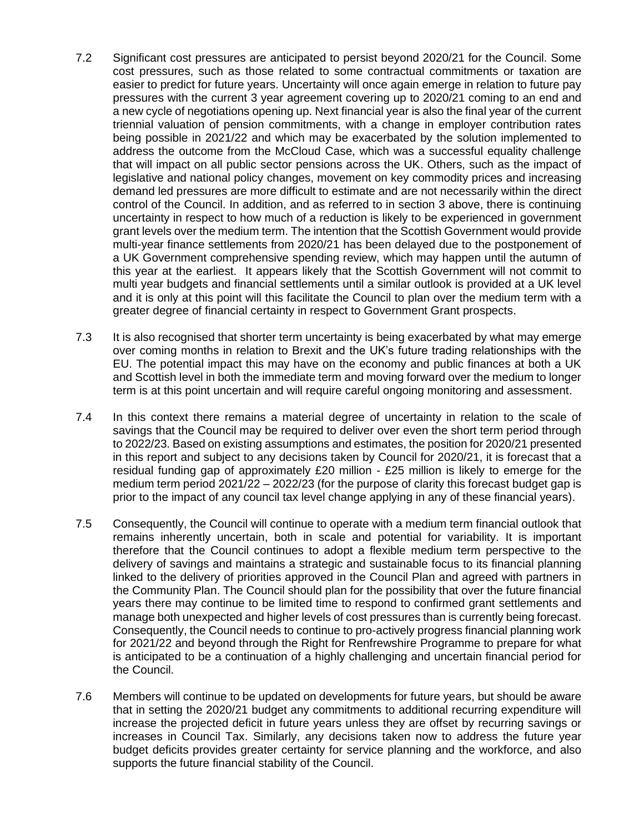- 7.2 Significant cost pressures are anticipated to persist beyond 2020/21 for the Council. Some cost pressures, such as those related to some contractual commitments or taxation are easier to predict for future years. Uncertainty will once again emerge in relation to future pay pressures with the current 3 year agreement covering up to 2020/21 coming to an end and a new cycle of negotiations opening up. Next financial year is also the final year of the current triennial valuation of pension commitments, with a change in employer contribution rates being possible in 2021/22 and which may be exacerbated by the solution implemented to address the outcome from the McCloud Case, which was a successful equality challenge that will impact on all public sector pensions across the UK. Others, such as the impact of legislative and national policy changes, movement on key commodity prices and increasing demand led pressures are more difficult to estimate and are not necessarily within the direct control of the Council. In addition, and as referred to in section 3 above, there is continuing uncertainty in respect to how much of a reduction is likely to be experienced in government grant levels over the medium term. The intention that the Scottish Government would provide multi-year finance settlements from 2020/21 has been delayed due to the postponement of a UK Government comprehensive spending review, which may happen until the autumn of this year at the earliest. It appears likely that the Scottish Government will not commit to multi year budgets and financial settlements until a similar outlook is provided at a UK level and it is only at this point will this facilitate the Council to plan over the medium term with a greater degree of financial certainty in respect to Government Grant prospects.
- 7.3 It is also recognised that shorter term uncertainty is being exacerbated by what may emerge over coming months in relation to Brexit and the UK's future trading relationships with the EU. The potential impact this may have on the economy and public finances at both a UK and Scottish level in both the immediate term and moving forward over the medium to longer term is at this point uncertain and will require careful ongoing monitoring and assessment.
- 7.4 In this context there remains a material degree of uncertainty in relation to the scale of savings that the Council may be required to deliver over even the short term period through to 2022/23. Based on existing assumptions and estimates, the position for 2020/21 presented in this report and subject to any decisions taken by Council for 2020/21, it is forecast that a residual funding gap of approximately £20 million - £25 million is likely to emerge for the medium term period 2021/22 – 2022/23 (for the purpose of clarity this forecast budget gap is prior to the impact of any council tax level change applying in any of these financial years).
- 7.5 Consequently, the Council will continue to operate with a medium term financial outlook that remains inherently uncertain, both in scale and potential for variability. It is important therefore that the Council continues to adopt a flexible medium term perspective to the delivery of savings and maintains a strategic and sustainable focus to its financial planning linked to the delivery of priorities approved in the Council Plan and agreed with partners in the Community Plan. The Council should plan for the possibility that over the future financial years there may continue to be limited time to respond to confirmed grant settlements and manage both unexpected and higher levels of cost pressures than is currently being forecast. Consequently, the Council needs to continue to pro-actively progress financial planning work for 2021/22 and beyond through the Right for Renfrewshire Programme to prepare for what is anticipated to be a continuation of a highly challenging and uncertain financial period for the Council.
- 7.6 Members will continue to be updated on developments for future years, but should be aware that in setting the 2020/21 budget any commitments to additional recurring expenditure will increase the projected deficit in future years unless they are offset by recurring savings or increases in Council Tax. Similarly, any decisions taken now to address the future year budget deficits provides greater certainty for service planning and the workforce, and also supports the future financial stability of the Council.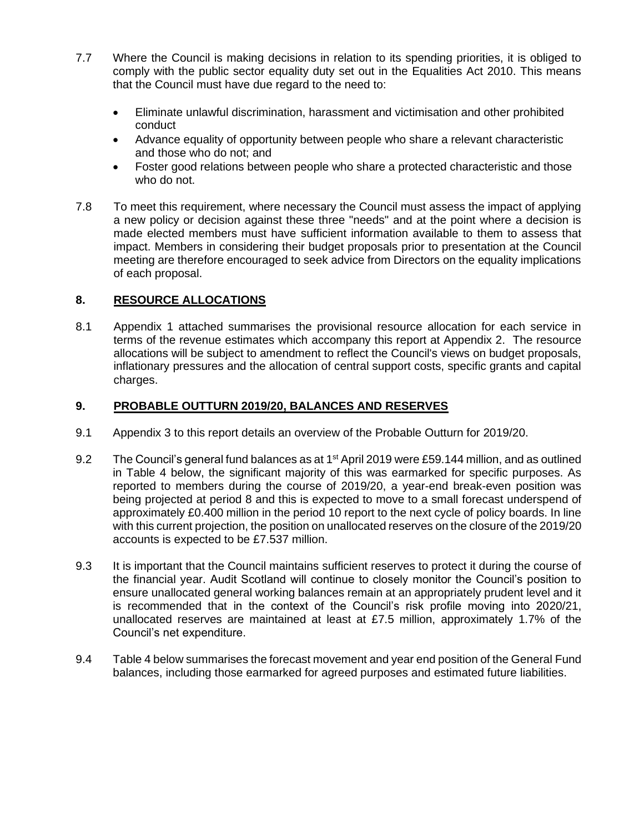- 7.7 Where the Council is making decisions in relation to its spending priorities, it is obliged to comply with the public sector equality duty set out in the Equalities Act 2010. This means that the Council must have due regard to the need to:
	- Eliminate unlawful discrimination, harassment and victimisation and other prohibited conduct
	- Advance equality of opportunity between people who share a relevant characteristic and those who do not; and
	- Foster good relations between people who share a protected characteristic and those who do not.
- 7.8 To meet this requirement, where necessary the Council must assess the impact of applying a new policy or decision against these three "needs" and at the point where a decision is made elected members must have sufficient information available to them to assess that impact. Members in considering their budget proposals prior to presentation at the Council meeting are therefore encouraged to seek advice from Directors on the equality implications of each proposal.

## **8. RESOURCE ALLOCATIONS**

8.1 Appendix 1 attached summarises the provisional resource allocation for each service in terms of the revenue estimates which accompany this report at Appendix 2. The resource allocations will be subject to amendment to reflect the Council's views on budget proposals, inflationary pressures and the allocation of central support costs, specific grants and capital charges.

#### **9. PROBABLE OUTTURN 2019/20, BALANCES AND RESERVES**

- 9.1 Appendix 3 to this report details an overview of the Probable Outturn for 2019/20.
- 9.2 The Council's general fund balances as at 1<sup>st</sup> April 2019 were £59.144 million, and as outlined in Table 4 below, the significant majority of this was earmarked for specific purposes. As reported to members during the course of 2019/20, a year-end break-even position was being projected at period 8 and this is expected to move to a small forecast underspend of approximately £0.400 million in the period 10 report to the next cycle of policy boards. In line with this current projection, the position on unallocated reserves on the closure of the 2019/20 accounts is expected to be £7.537 million.
- 9.3 It is important that the Council maintains sufficient reserves to protect it during the course of the financial year. Audit Scotland will continue to closely monitor the Council's position to ensure unallocated general working balances remain at an appropriately prudent level and it is recommended that in the context of the Council's risk profile moving into 2020/21, unallocated reserves are maintained at least at £7.5 million, approximately 1.7% of the Council's net expenditure.
- 9.4 Table 4 below summarises the forecast movement and year end position of the General Fund balances, including those earmarked for agreed purposes and estimated future liabilities.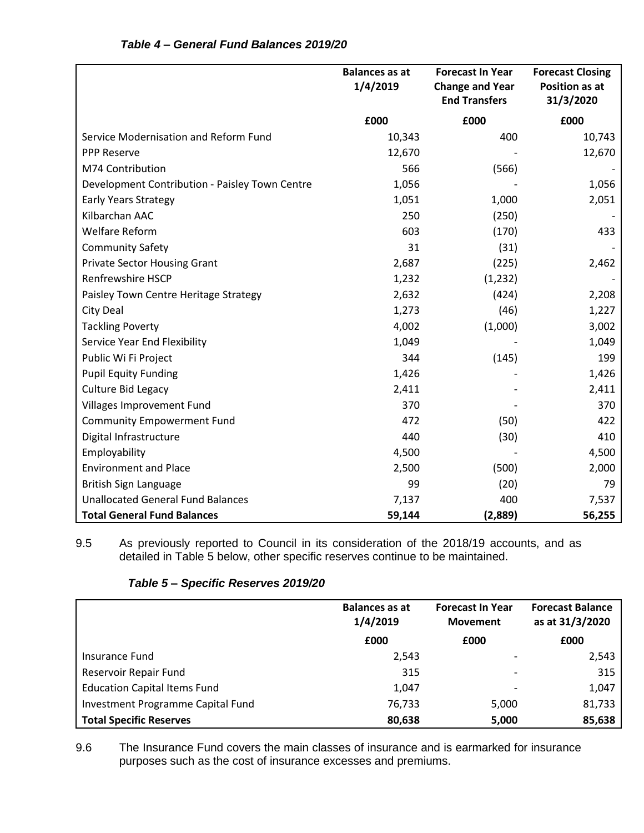|                                                | <b>Balances as at</b><br>1/4/2019 | <b>Forecast In Year</b><br><b>Change and Year</b><br><b>End Transfers</b> | <b>Forecast Closing</b><br><b>Position as at</b><br>31/3/2020 |
|------------------------------------------------|-----------------------------------|---------------------------------------------------------------------------|---------------------------------------------------------------|
|                                                | £000                              | £000                                                                      | £000                                                          |
| Service Modernisation and Reform Fund          | 10,343                            | 400                                                                       | 10,743                                                        |
| <b>PPP Reserve</b>                             | 12,670                            |                                                                           | 12,670                                                        |
| M74 Contribution                               | 566                               | (566)                                                                     |                                                               |
| Development Contribution - Paisley Town Centre | 1,056                             |                                                                           | 1,056                                                         |
| <b>Early Years Strategy</b>                    | 1,051                             | 1,000                                                                     | 2,051                                                         |
| Kilbarchan AAC                                 | 250                               | (250)                                                                     |                                                               |
| <b>Welfare Reform</b>                          | 603                               | (170)                                                                     | 433                                                           |
| <b>Community Safety</b>                        | 31                                | (31)                                                                      |                                                               |
| <b>Private Sector Housing Grant</b>            | 2,687                             | (225)                                                                     | 2,462                                                         |
| <b>Renfrewshire HSCP</b>                       | 1,232                             | (1, 232)                                                                  |                                                               |
| Paisley Town Centre Heritage Strategy          | 2,632                             | (424)                                                                     | 2,208                                                         |
| City Deal                                      | 1,273                             | (46)                                                                      | 1,227                                                         |
| <b>Tackling Poverty</b>                        | 4,002                             | (1,000)                                                                   | 3,002                                                         |
| Service Year End Flexibility                   | 1,049                             |                                                                           | 1,049                                                         |
| Public Wi Fi Project                           | 344                               | (145)                                                                     | 199                                                           |
| <b>Pupil Equity Funding</b>                    | 1,426                             |                                                                           | 1,426                                                         |
| <b>Culture Bid Legacy</b>                      | 2,411                             |                                                                           | 2,411                                                         |
| Villages Improvement Fund                      | 370                               |                                                                           | 370                                                           |
| <b>Community Empowerment Fund</b>              | 472                               | (50)                                                                      | 422                                                           |
| Digital Infrastructure                         | 440                               | (30)                                                                      | 410                                                           |
| Employability                                  | 4,500                             |                                                                           | 4,500                                                         |
| <b>Environment and Place</b>                   | 2,500                             | (500)                                                                     | 2,000                                                         |
| British Sign Language                          | 99                                | (20)                                                                      | 79                                                            |
| <b>Unallocated General Fund Balances</b>       | 7,137                             | 400                                                                       | 7,537                                                         |
| <b>Total General Fund Balances</b>             | 59,144                            | (2,889)                                                                   | 56,255                                                        |

## *Table 4 – General Fund Balances 2019/20*

9.5 As previously reported to Council in its consideration of the 2018/19 accounts, and as detailed in Table 5 below, other specific reserves continue to be maintained.

|                                     | <b>Balances as at</b><br>1/4/2019 | <b>Forecast In Year</b><br><b>Movement</b> | <b>Forecast Balance</b><br>as at 31/3/2020 |
|-------------------------------------|-----------------------------------|--------------------------------------------|--------------------------------------------|
|                                     | £000                              | £000                                       | £000                                       |
| Insurance Fund                      | 2,543                             |                                            | 2,543                                      |
| Reservoir Repair Fund               | 315                               |                                            | 315                                        |
| <b>Education Capital Items Fund</b> | 1,047                             |                                            | 1,047                                      |
| Investment Programme Capital Fund   | 76,733                            | 5,000                                      | 81,733                                     |
| <b>Total Specific Reserves</b>      | 80,638                            | 5,000                                      | 85,638                                     |

# *Table 5 – Specific Reserves 2019/20*

9.6 The Insurance Fund covers the main classes of insurance and is earmarked for insurance purposes such as the cost of insurance excesses and premiums.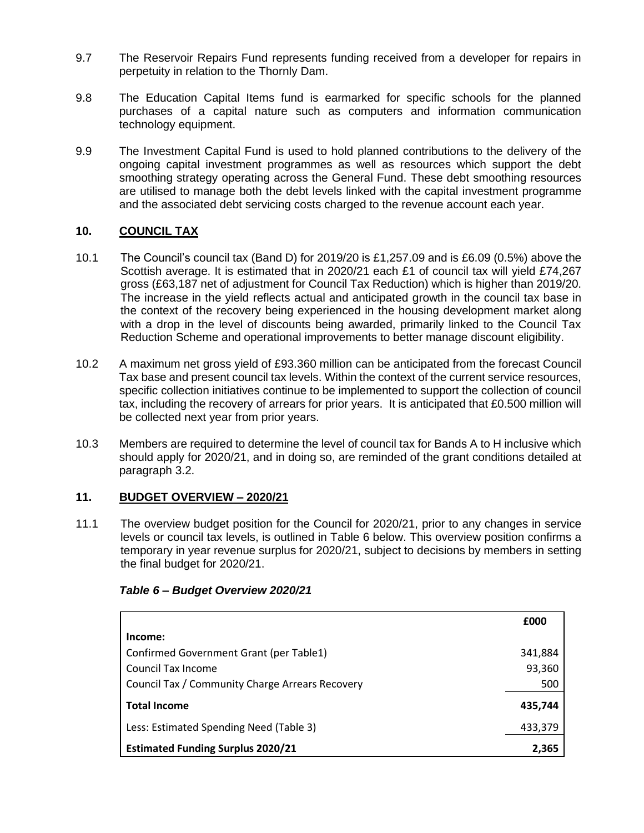- 9.7 The Reservoir Repairs Fund represents funding received from a developer for repairs in perpetuity in relation to the Thornly Dam.
- 9.8 The Education Capital Items fund is earmarked for specific schools for the planned purchases of a capital nature such as computers and information communication technology equipment.
- 9.9 The Investment Capital Fund is used to hold planned contributions to the delivery of the ongoing capital investment programmes as well as resources which support the debt smoothing strategy operating across the General Fund. These debt smoothing resources are utilised to manage both the debt levels linked with the capital investment programme and the associated debt servicing costs charged to the revenue account each year.

## **10. COUNCIL TAX**

- 10.1 The Council's council tax (Band D) for 2019/20 is £1,257.09 and is £6.09 (0.5%) above the Scottish average. It is estimated that in 2020/21 each £1 of council tax will yield £74,267 gross (£63,187 net of adjustment for Council Tax Reduction) which is higher than 2019/20. The increase in the yield reflects actual and anticipated growth in the council tax base in the context of the recovery being experienced in the housing development market along with a drop in the level of discounts being awarded, primarily linked to the Council Tax Reduction Scheme and operational improvements to better manage discount eligibility.
- 10.2 A maximum net gross yield of £93.360 million can be anticipated from the forecast Council Tax base and present council tax levels. Within the context of the current service resources, specific collection initiatives continue to be implemented to support the collection of council tax, including the recovery of arrears for prior years. It is anticipated that £0.500 million will be collected next year from prior years.
- 10.3 Members are required to determine the level of council tax for Bands A to H inclusive which should apply for 2020/21, and in doing so, are reminded of the grant conditions detailed at paragraph 3.2.

## **11. BUDGET OVERVIEW – 2020/21**

11.1 The overview budget position for the Council for 2020/21, prior to any changes in service levels or council tax levels, is outlined in Table 6 below. This overview position confirms a temporary in year revenue surplus for 2020/21, subject to decisions by members in setting the final budget for 2020/21.

|                                                 | £000    |
|-------------------------------------------------|---------|
| Income:                                         |         |
| Confirmed Government Grant (per Table1)         | 341,884 |
| Council Tax Income                              | 93,360  |
| Council Tax / Community Charge Arrears Recovery | 500     |
| <b>Total Income</b>                             | 435,744 |
| Less: Estimated Spending Need (Table 3)         | 433,379 |
| <b>Estimated Funding Surplus 2020/21</b>        | 2,365   |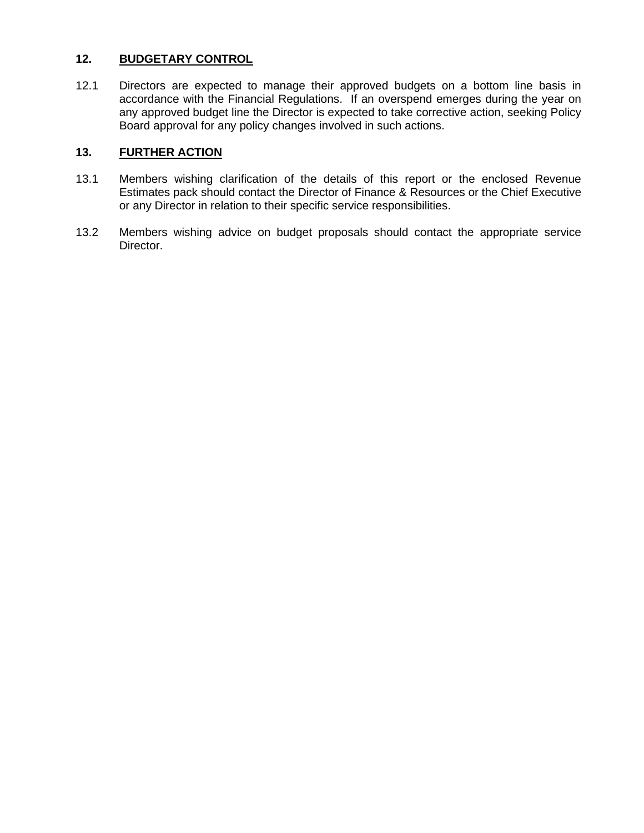#### **12. BUDGETARY CONTROL**

12.1 Directors are expected to manage their approved budgets on a bottom line basis in accordance with the Financial Regulations. If an overspend emerges during the year on any approved budget line the Director is expected to take corrective action, seeking Policy Board approval for any policy changes involved in such actions.

## **13. FURTHER ACTION**

- 13.1 Members wishing clarification of the details of this report or the enclosed Revenue Estimates pack should contact the Director of Finance & Resources or the Chief Executive or any Director in relation to their specific service responsibilities.
- 13.2 Members wishing advice on budget proposals should contact the appropriate service Director.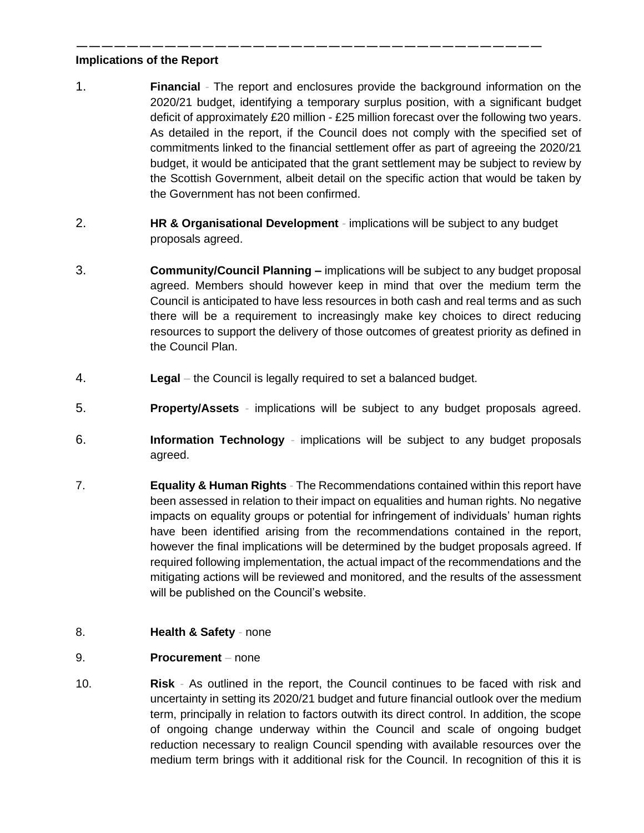#### ————————————————————————————————————— **Implications of the Report**

- 1. **Financial** *-* The report and enclosures provide the background information on the 2020/21 budget, identifying a temporary surplus position, with a significant budget deficit of approximately £20 million - £25 million forecast over the following two years. As detailed in the report, if the Council does not comply with the specified set of commitments linked to the financial settlement offer as part of agreeing the 2020/21 budget, it would be anticipated that the grant settlement may be subject to review by the Scottish Government, albeit detail on the specific action that would be taken by the Government has not been confirmed.
- 2. **HR & Organisational Development** *-* implications will be subject to any budget proposals agreed.
- 3. **Community/Council Planning –** implications will be subject to any budget proposal agreed. Members should however keep in mind that over the medium term the Council is anticipated to have less resources in both cash and real terms and as such there will be a requirement to increasingly make key choices to direct reducing resources to support the delivery of those outcomes of greatest priority as defined in the Council Plan.
- 4. **Legal** *–* the Council is legally required to set a balanced budget.
- 5. **Property/Assets** *-* implications will be subject to any budget proposals agreed.
- 6. **Information Technology** *-* implications will be subject to any budget proposals agreed.
- 7. **Equality & Human Rights** *-* The Recommendations contained within this report have been assessed in relation to their impact on equalities and human rights. No negative impacts on equality groups or potential for infringement of individuals' human rights have been identified arising from the recommendations contained in the report, however the final implications will be determined by the budget proposals agreed. If required following implementation, the actual impact of the recommendations and the mitigating actions will be reviewed and monitored, and the results of the assessment will be published on the Council's website.

## 8. **Health & Safety** *-* none

#### 9. **Procurement** *–* none

10. **Risk** *-* As outlined in the report, the Council continues to be faced with risk and uncertainty in setting its 2020/21 budget and future financial outlook over the medium term, principally in relation to factors outwith its direct control. In addition, the scope of ongoing change underway within the Council and scale of ongoing budget reduction necessary to realign Council spending with available resources over the medium term brings with it additional risk for the Council. In recognition of this it is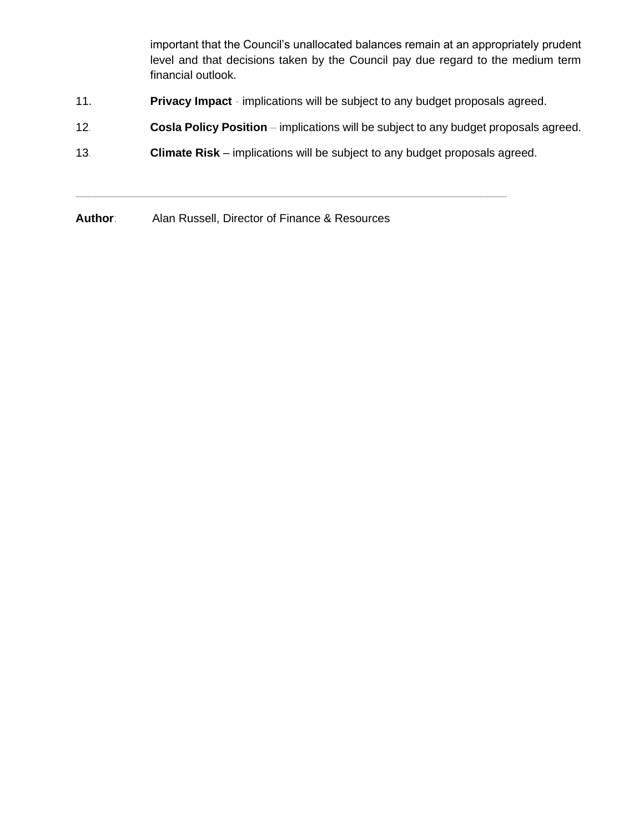important that the Council's unallocated balances remain at an appropriately prudent level and that decisions taken by the Council pay due regard to the medium term financial outlook.

- 11. **Privacy Impact** *-* implications will be subject to any budget proposals agreed.
- 12*.* **Cosla Policy Position** *–* implications will be subject to any budget proposals agreed.
- 13*.* **Climate Risk** implications will be subject to any budget proposals agreed.

**\_\_\_\_\_\_\_\_\_\_\_\_\_\_\_\_\_\_\_\_\_\_\_\_\_\_\_\_\_\_\_\_\_\_\_\_\_\_\_\_\_\_\_\_\_\_\_\_\_\_\_\_\_\_\_\_\_\_\_\_\_\_\_\_\_\_\_**

**Author**: Alan Russell, Director of Finance & Resources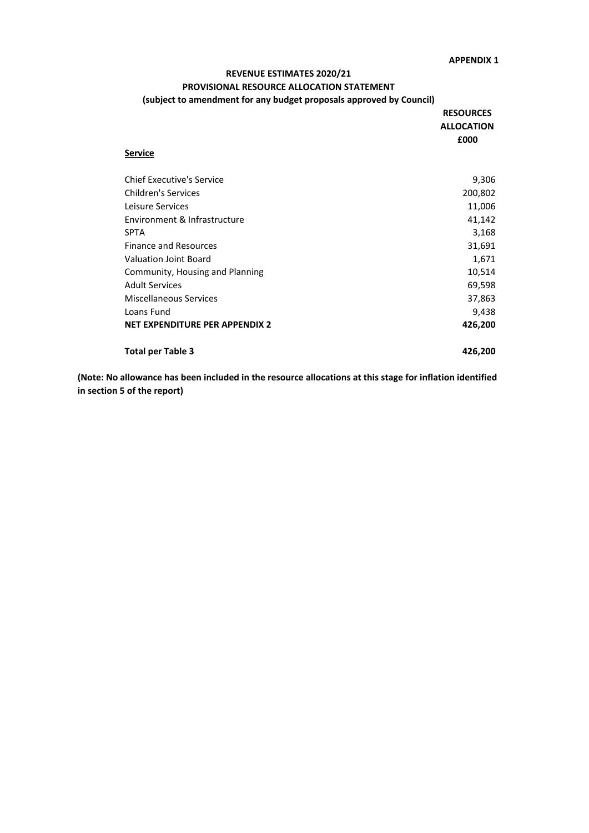#### **REVENUE ESTIMATES 2020/21 PROVISIONAL RESOURCE ALLOCATION STATEMENT (subject to amendment for any budget proposals approved by Council)**

| (subject to amendment for any budget proposals approved by Council) |                                       |
|---------------------------------------------------------------------|---------------------------------------|
|                                                                     | <b>RESOURCES</b><br><b>ALLOCATION</b> |
| <b>Service</b>                                                      | £000                                  |
| <b>Chief Executive's Service</b>                                    | 9,306                                 |
| <b>Children's Services</b>                                          | 200,802                               |
| Leisure Services                                                    | 11,006                                |
| Environment & Infrastructure                                        | 41,142                                |
| <b>SPTA</b>                                                         | 3,168                                 |
| <b>Finance and Resources</b>                                        | 31,691                                |
| <b>Valuation Joint Board</b>                                        | 1,671                                 |
| Community, Housing and Planning                                     | 10,514                                |
| <b>Adult Services</b>                                               | 69,598                                |
| <b>Miscellaneous Services</b>                                       | 37,863                                |
| Loans Fund                                                          | 9,438                                 |
| <b>NET EXPENDITURE PER APPENDIX 2</b>                               | 426,200                               |
| <b>Total per Table 3</b>                                            | 426,200                               |

**(Note: No allowance has been included in the resource allocations at this stage for inflation identified in section 5 of the report)**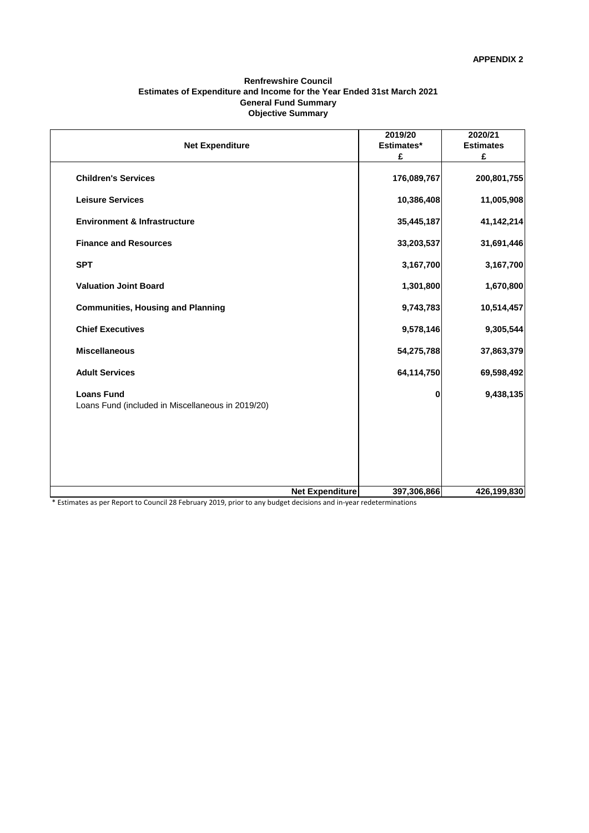#### **Renfrewshire Council Estimates of Expenditure and Income for the Year Ended 31st March 2021 General Fund Summary Objective Summary**

|                                                                        |                        | 2019/20     | 2020/21          |
|------------------------------------------------------------------------|------------------------|-------------|------------------|
| <b>Net Expenditure</b>                                                 |                        | Estimates*  | <b>Estimates</b> |
|                                                                        |                        | £           | £                |
| <b>Children's Services</b>                                             |                        | 176,089,767 | 200,801,755      |
| <b>Leisure Services</b>                                                |                        | 10,386,408  | 11,005,908       |
| <b>Environment &amp; Infrastructure</b>                                |                        | 35,445,187  | 41,142,214       |
| <b>Finance and Resources</b>                                           |                        | 33,203,537  | 31,691,446       |
| <b>SPT</b>                                                             |                        | 3,167,700   | 3,167,700        |
| <b>Valuation Joint Board</b>                                           |                        | 1,301,800   | 1,670,800        |
| <b>Communities, Housing and Planning</b>                               |                        | 9,743,783   | 10,514,457       |
| <b>Chief Executives</b>                                                |                        | 9,578,146   | 9,305,544        |
| <b>Miscellaneous</b>                                                   |                        | 54,275,788  | 37,863,379       |
| <b>Adult Services</b>                                                  |                        | 64,114,750  | 69,598,492       |
| <b>Loans Fund</b><br>Loans Fund (included in Miscellaneous in 2019/20) |                        | 0           | 9,438,135        |
|                                                                        |                        |             |                  |
|                                                                        |                        |             |                  |
|                                                                        | <b>Net Expenditure</b> | 397,306,866 | 426,199,830      |

\* Estimates as per Report to Council 28 February 2019, prior to any budget decisions and in-year redeterminations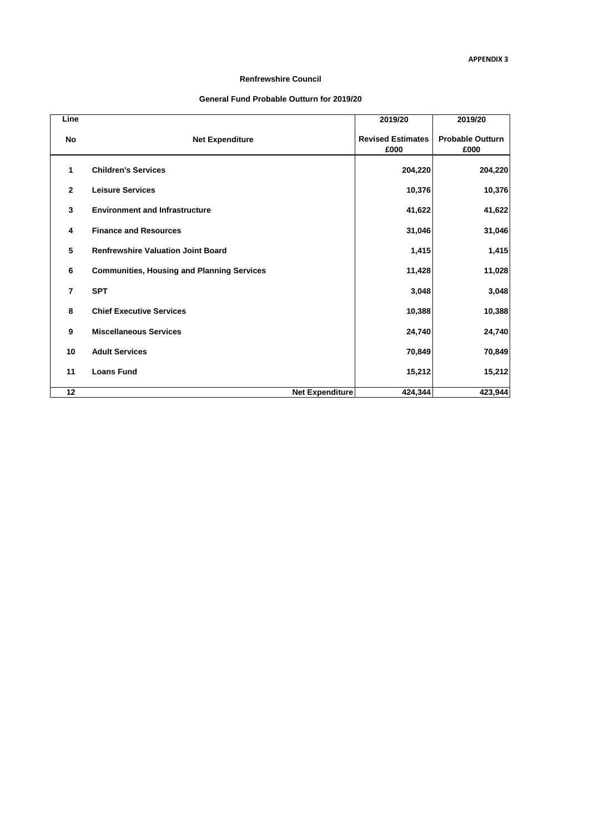#### **Renfrewshire Council**

#### **General Fund Probable Outturn for 2019/20**

| Line           |                                                   | 2019/20                          | 2019/20                         |
|----------------|---------------------------------------------------|----------------------------------|---------------------------------|
| No             | <b>Net Expenditure</b>                            | <b>Revised Estimates</b><br>£000 | <b>Probable Outturn</b><br>£000 |
| 1              | <b>Children's Services</b>                        | 204,220                          | 204,220                         |
| $\overline{2}$ | <b>Leisure Services</b>                           | 10,376                           | 10,376                          |
| 3              | <b>Environment and Infrastructure</b>             | 41,622                           | 41,622                          |
| 4              | <b>Finance and Resources</b>                      | 31,046                           | 31,046                          |
| 5              | <b>Renfrewshire Valuation Joint Board</b>         | 1,415                            | 1,415                           |
| 6              | <b>Communities, Housing and Planning Services</b> | 11,428                           | 11,028                          |
| $\overline{7}$ | <b>SPT</b>                                        | 3,048                            | 3,048                           |
| 8              | <b>Chief Executive Services</b>                   | 10,388                           | 10,388                          |
| 9              | <b>Miscellaneous Services</b>                     | 24,740                           | 24,740                          |
| 10             | <b>Adult Services</b>                             | 70,849                           | 70,849                          |
| 11             | <b>Loans Fund</b>                                 | 15,212                           | 15,212                          |
| 12             | <b>Net Expenditure</b>                            | 424,344                          | 423,944                         |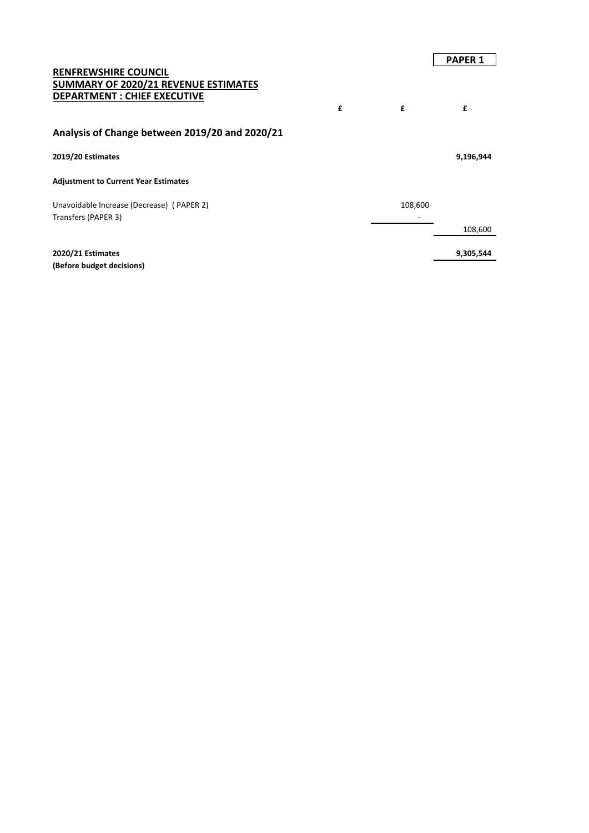# **PAPER 1 RENFREWSHIRE COUNCIL SUMMARY OF 2020/21 REVENUE ESTIMATES DEPARTMENT : CHIEF EXECUTIVE £ £ £ Analysis of Change between 2019/20 and 2020/21 2019/20 Estimates 9,196,944 Adjustment to Current Year Estimates** Unavoidable Increase (Decrease) (PAPER 2) 108,600 Transfers (PAPER 3) and the state of the state of the state of the state of the state of the state of the state of the state of the state of the state of the state of the state of the state of the state of the state of the 108,600 **2020/21 Estimates** 9,305,544 **(Before budget decisions)**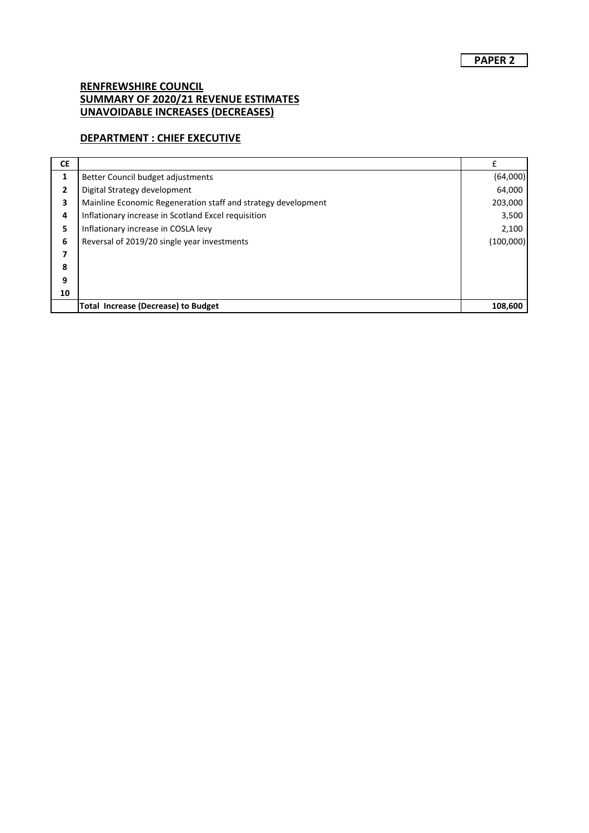## **DEPARTMENT : CHIEF EXECUTIVE**

| <b>CE</b> |                                                               | f         |
|-----------|---------------------------------------------------------------|-----------|
| 1         | Better Council budget adjustments                             | (64,000)  |
| 2         | Digital Strategy development                                  | 64,000    |
| 3         | Mainline Economic Regeneration staff and strategy development | 203,000   |
| 4         | Inflationary increase in Scotland Excel requisition           | 3,500     |
| 5         | Inflationary increase in COSLA levy                           | 2,100     |
| 6         | Reversal of 2019/20 single year investments                   | (100,000) |
| 7         |                                                               |           |
| 8         |                                                               |           |
| 9         |                                                               |           |
| 10        |                                                               |           |
|           | <b>Total Increase (Decrease) to Budget</b>                    | 108,600   |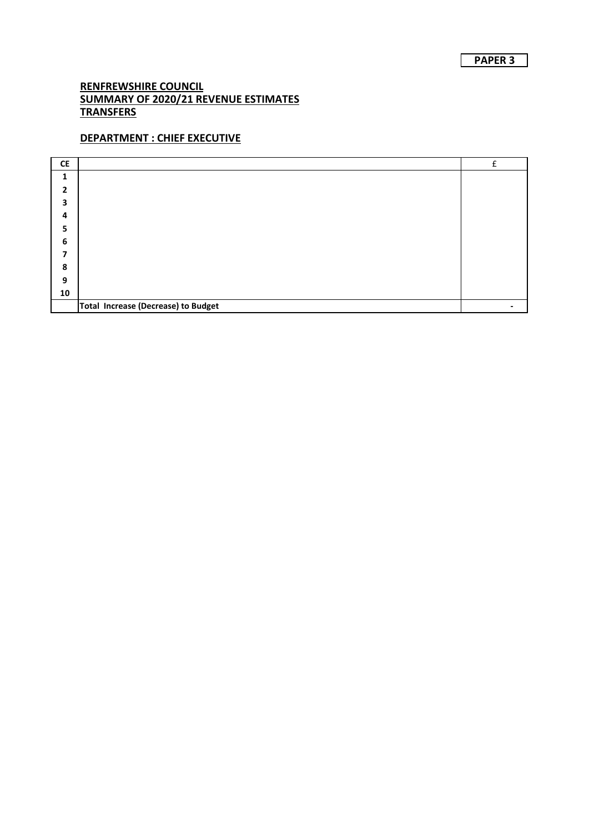# **DEPARTMENT : CHIEF EXECUTIVE**

| <b>CE</b>      |                                     | f |
|----------------|-------------------------------------|---|
| 1              |                                     |   |
| $\overline{2}$ |                                     |   |
| 3              |                                     |   |
| 4              |                                     |   |
| 5              |                                     |   |
| 6              |                                     |   |
| 7              |                                     |   |
| 8              |                                     |   |
| 9              |                                     |   |
| 10             |                                     |   |
|                | Total Increase (Decrease) to Budget |   |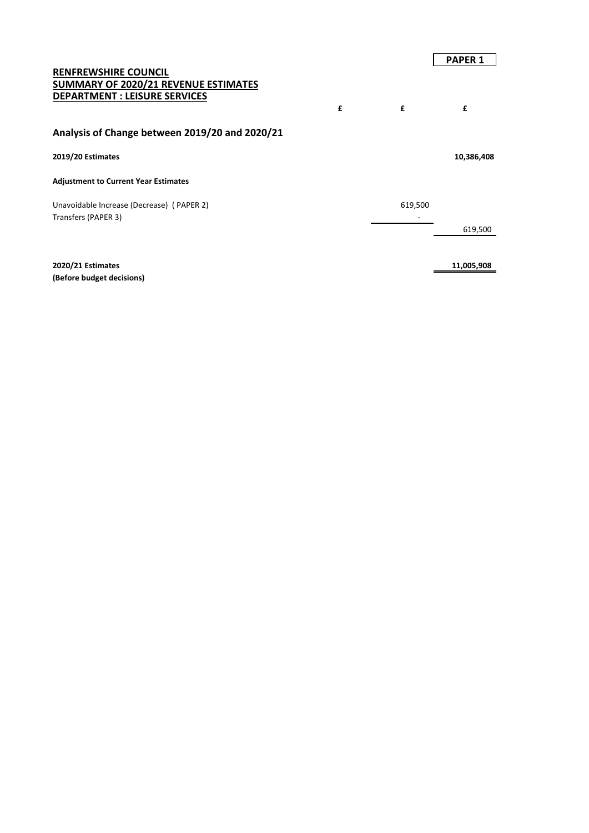#### **RENFREWSHIRE COUNCIL SUMMARY OF 2020/21 REVENUE ESTIMATES DEPARTMENT : LEISURE SERVICES**

## **Analysis of Change between 2019/20 and 2020/21**

#### **2019/20 Estimates 10,386,408**

#### **Adjustment to Current Year Estimates**

Unavoidable Increase (Decrease) (PAPER 2) 619,500 Transfers (PAPER 3) and the state of the state of the state of the state of the state of the state of the state of the state of the state of the state of the state of the state of the state of the state of the state of the

**2020/21 Estimates 11,005,908 (Before budget decisions)**

**£ £ £**

619,500

#### **PAPER 1**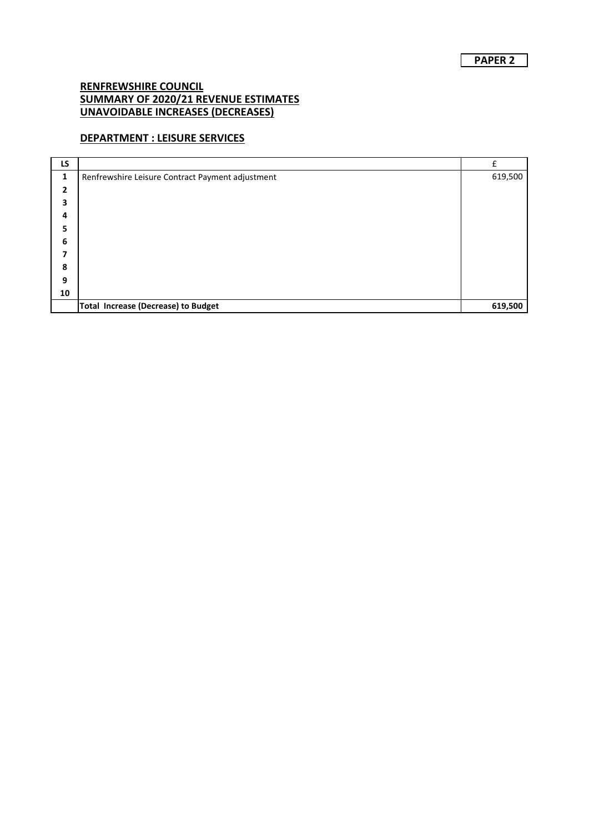## **DEPARTMENT : LEISURE SERVICES**

| LS |                                                  | f       |
|----|--------------------------------------------------|---------|
| 1  | Renfrewshire Leisure Contract Payment adjustment | 619,500 |
| 2  |                                                  |         |
| 3  |                                                  |         |
| 4  |                                                  |         |
| 5  |                                                  |         |
| 6  |                                                  |         |
| 7  |                                                  |         |
| 8  |                                                  |         |
| 9  |                                                  |         |
| 10 |                                                  |         |
|    | <b>Total Increase (Decrease) to Budget</b>       | 619,500 |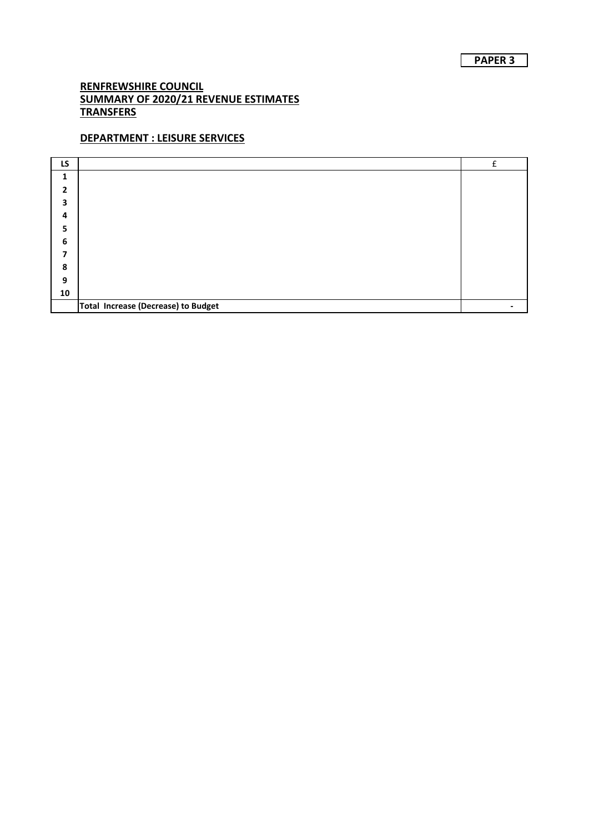# **DEPARTMENT : LEISURE SERVICES**

| LS             |                                     | f |
|----------------|-------------------------------------|---|
| $\mathbf{1}$   |                                     |   |
| $\overline{2}$ |                                     |   |
| 3              |                                     |   |
| 4              |                                     |   |
| 5              |                                     |   |
| 6              |                                     |   |
| 7              |                                     |   |
| 8              |                                     |   |
| 9              |                                     |   |
| 10             |                                     |   |
|                | Total Increase (Decrease) to Budget |   |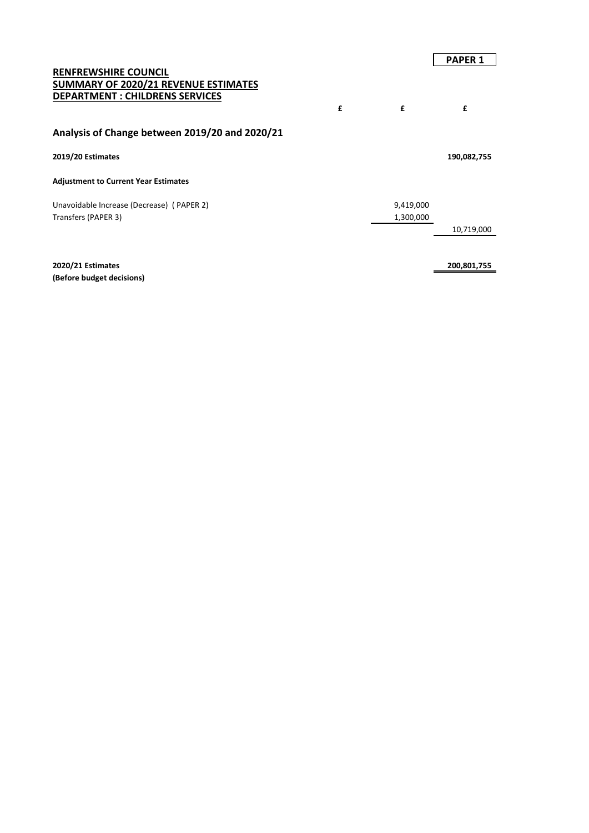|   |           | <b>PAPER 1</b> |
|---|-----------|----------------|
|   |           |                |
|   |           |                |
| £ | £         | £              |
|   |           |                |
|   |           |                |
|   |           | 190,082,755    |
|   |           |                |
|   | 9,419,000 |                |
|   | 1,300,000 |                |
|   |           | 10,719,000     |
|   |           |                |
|   |           |                |

**2020/21 Estimates 200,801,755 (Before budget decisions)**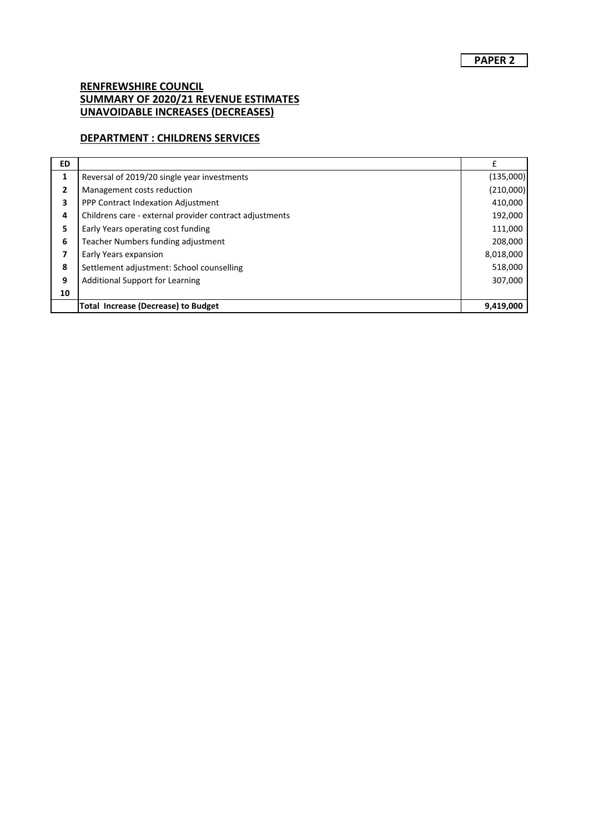## **DEPARTMENT : CHILDRENS SERVICES**

| <b>ED</b> |                                                         |           |
|-----------|---------------------------------------------------------|-----------|
| 1         | Reversal of 2019/20 single year investments             | (135,000) |
| 2         | Management costs reduction                              | (210,000) |
| 3         | PPP Contract Indexation Adjustment                      | 410,000   |
| 4         | Childrens care - external provider contract adjustments | 192,000   |
| 5         | Early Years operating cost funding                      | 111,000   |
| 6         | Teacher Numbers funding adjustment                      | 208,000   |
| 7         | Early Years expansion                                   | 8,018,000 |
| 8         | Settlement adjustment: School counselling               | 518,000   |
| 9         | <b>Additional Support for Learning</b>                  | 307,000   |
| 10        |                                                         |           |
|           | <b>Total Increase (Decrease) to Budget</b>              | 9,419,000 |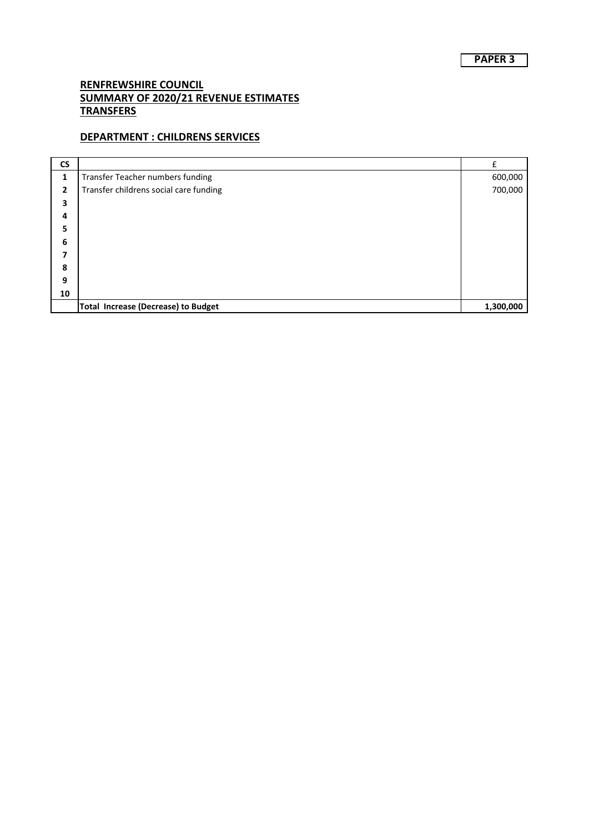## **DEPARTMENT : CHILDRENS SERVICES**

| <b>CS</b>    |                                            | f         |
|--------------|--------------------------------------------|-----------|
| $\mathbf{1}$ | Transfer Teacher numbers funding           | 600,000   |
| 2            | Transfer childrens social care funding     | 700,000   |
| 3            |                                            |           |
| 4            |                                            |           |
| 5            |                                            |           |
| 6            |                                            |           |
| 7            |                                            |           |
| 8            |                                            |           |
| 9            |                                            |           |
| 10           |                                            |           |
|              | <b>Total Increase (Decrease) to Budget</b> | 1,300,000 |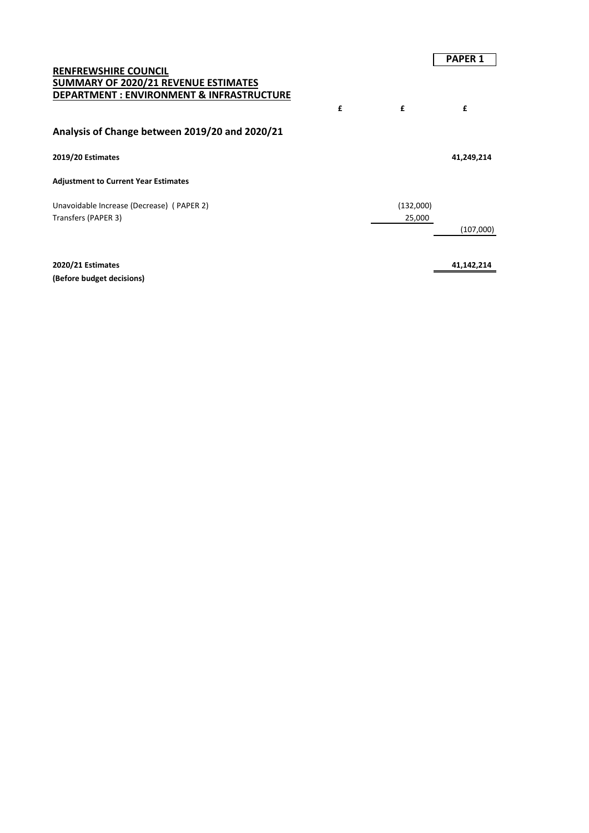|           | <b>PAPER 1</b> |
|-----------|----------------|
|           |                |
|           |                |
|           |                |
|           | £              |
|           |                |
|           | 41,249,214     |
|           |                |
| (132,000) |                |
| 25,000    |                |
|           | (107,000)      |
|           |                |
| £         | £              |

**2020/21 Estimates 41,142,214 (Before budget decisions)**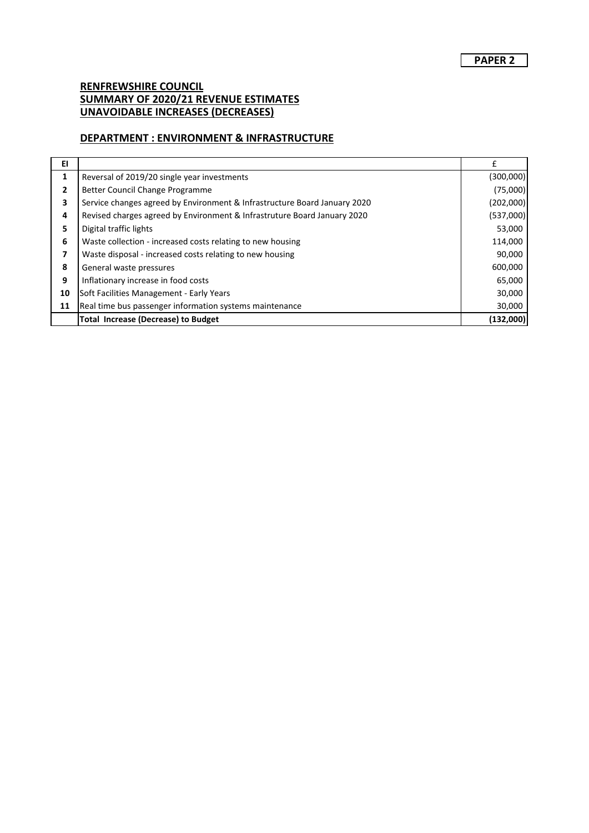## **DEPARTMENT : ENVIRONMENT & INFRASTRUCTURE**

| EI |                                                                           |           |
|----|---------------------------------------------------------------------------|-----------|
| 1  | Reversal of 2019/20 single year investments                               | (300,000) |
| 2  | Better Council Change Programme                                           | (75,000)  |
| 3  | Service changes agreed by Environment & Infrastructure Board January 2020 | (202,000) |
| 4  | Revised charges agreed by Environment & Infrastruture Board January 2020  | (537,000) |
| 5  | Digital traffic lights                                                    | 53,000    |
| 6  | Waste collection - increased costs relating to new housing                | 114,000   |
| 7  | Waste disposal - increased costs relating to new housing                  | 90,000    |
| 8  | General waste pressures                                                   | 600,000   |
| 9  | Inflationary increase in food costs                                       | 65,000    |
| 10 | Soft Facilities Management - Early Years                                  | 30,000    |
| 11 | Real time bus passenger information systems maintenance                   | 30,000    |
|    | <b>Total Increase (Decrease) to Budget</b>                                | (132,000) |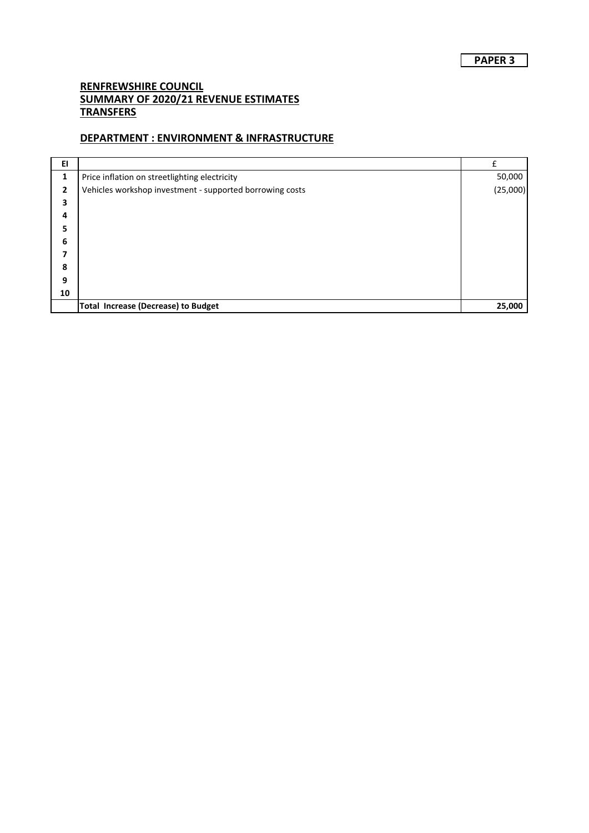## **DEPARTMENT : ENVIRONMENT & INFRASTRUCTURE**

| EI           |                                                          |          |
|--------------|----------------------------------------------------------|----------|
| 1            | Price inflation on streetlighting electricity            | 50,000   |
| $\mathbf{2}$ | Vehicles workshop investment - supported borrowing costs | (25,000) |
| 3            |                                                          |          |
| 4            |                                                          |          |
| 5            |                                                          |          |
| 6            |                                                          |          |
| 7            |                                                          |          |
| 8            |                                                          |          |
| 9            |                                                          |          |
| 10           |                                                          |          |
|              | <b>Total Increase (Decrease) to Budget</b>               | 25,000   |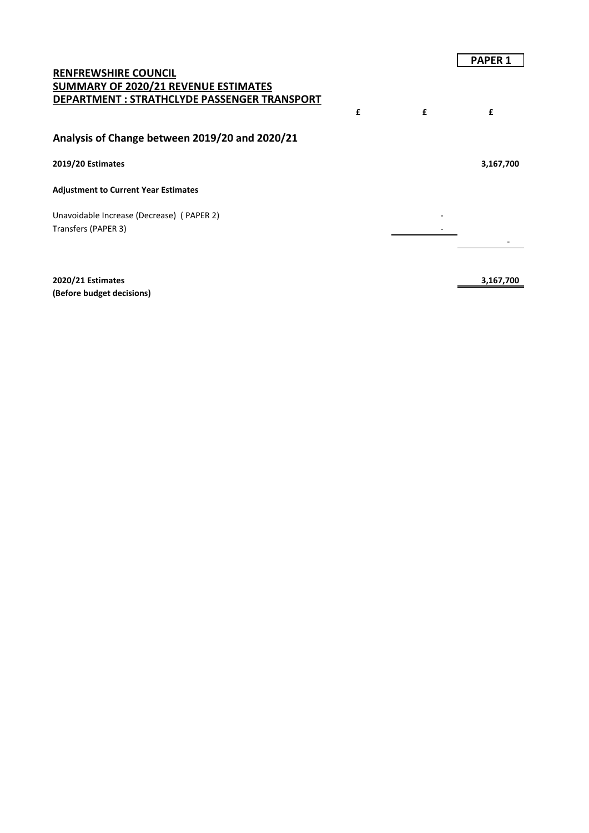|                                                                                                                     |   |   | <b>PAPER 1</b> |
|---------------------------------------------------------------------------------------------------------------------|---|---|----------------|
| <b>RENFREWSHIRE COUNCIL</b><br>SUMMARY OF 2020/21 REVENUE ESTIMATES<br>DEPARTMENT : STRATHCLYDE PASSENGER TRANSPORT |   |   |                |
|                                                                                                                     | £ | £ | £              |
| Analysis of Change between 2019/20 and 2020/21                                                                      |   |   |                |
| 2019/20 Estimates                                                                                                   |   |   | 3,167,700      |
| <b>Adjustment to Current Year Estimates</b>                                                                         |   |   |                |
| Unavoidable Increase (Decrease) (PAPER 2)                                                                           |   |   |                |
| Transfers (PAPER 3)                                                                                                 |   |   |                |
|                                                                                                                     |   |   |                |
|                                                                                                                     |   |   |                |

**2020/21 Estimates 3,167,700 (Before budget decisions)**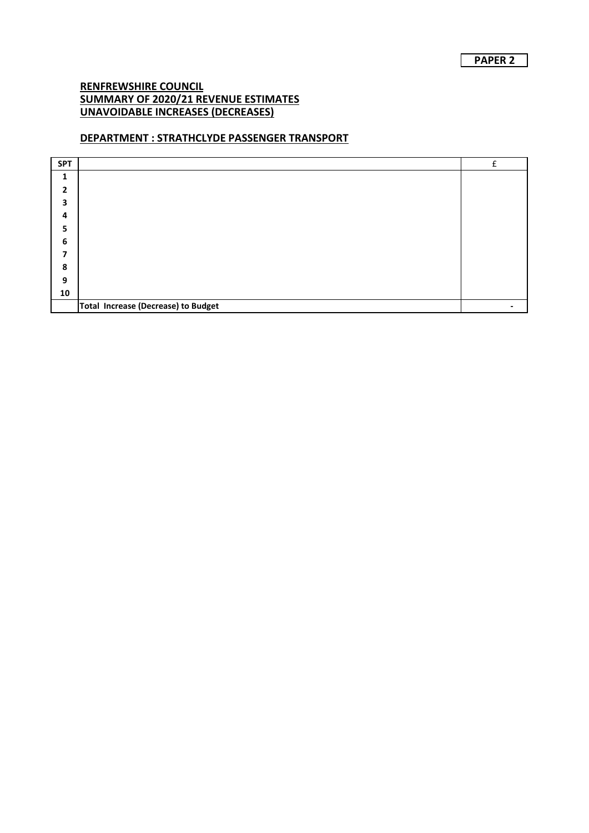## **DEPARTMENT : STRATHCLYDE PASSENGER TRANSPORT**

| <b>SPT</b>   |                                     | f |
|--------------|-------------------------------------|---|
| 1            |                                     |   |
| $\mathbf{2}$ |                                     |   |
| 3            |                                     |   |
| 4            |                                     |   |
| 5            |                                     |   |
| 6            |                                     |   |
| 7            |                                     |   |
| 8            |                                     |   |
| 9            |                                     |   |
| 10           |                                     |   |
|              | Total Increase (Decrease) to Budget |   |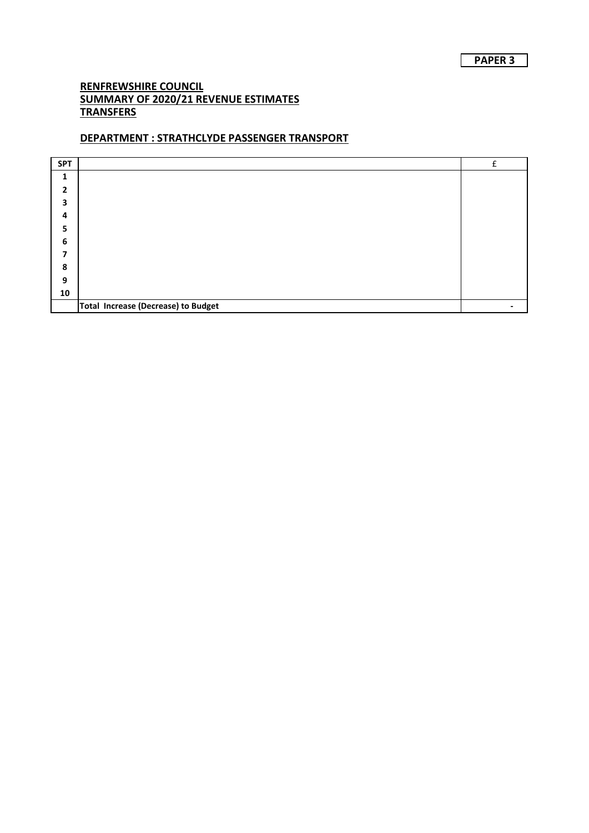## **DEPARTMENT : STRATHCLYDE PASSENGER TRANSPORT**

| <b>SPT</b>   |                                     | £ |
|--------------|-------------------------------------|---|
| 1            |                                     |   |
| $\mathbf{2}$ |                                     |   |
| 3            |                                     |   |
| 4            |                                     |   |
| 5            |                                     |   |
| 6            |                                     |   |
| 7            |                                     |   |
| 8            |                                     |   |
| 9            |                                     |   |
| ${\bf 10}$   |                                     |   |
|              | Total Increase (Decrease) to Budget |   |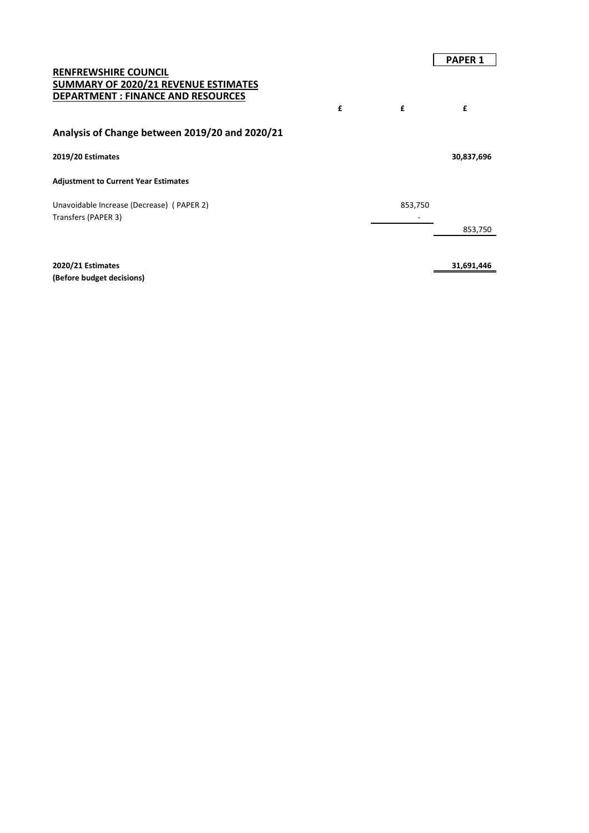# **PAPER 1 RENFREWSHIRE COUNCIL SUMMARY OF 2020/21 REVENUE ESTIMATES DEPARTMENT : FINANCE AND RESOURCES £ £ £ Analysis of Change between 2019/20 and 2020/21 2019/20 Estimates 30,837,696 Adjustment to Current Year Estimates** Unavoidable Increase (Decrease) (PAPER 2) 853,750 Transfers (PAPER 3) and the state of the state of the state of the state of the state of the state of the state of the state of the state of the state of the state of the state of the state of the state of the state of the 853,750 **2020/21 Estimates 31,691,446**

**(Before budget decisions)**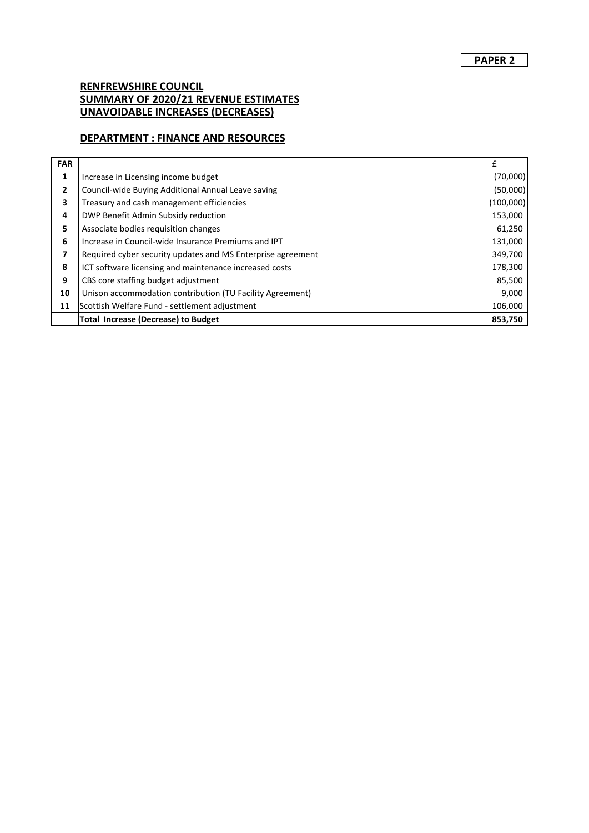## **DEPARTMENT : FINANCE AND RESOURCES**

| <b>FAR</b> |                                                             | f         |
|------------|-------------------------------------------------------------|-----------|
| 1          | Increase in Licensing income budget                         | (70,000)  |
| 2          | Council-wide Buying Additional Annual Leave saving          | (50,000)  |
| 3          | Treasury and cash management efficiencies                   | (100,000) |
| 4          | DWP Benefit Admin Subsidy reduction                         | 153,000   |
| 5          | Associate bodies requisition changes                        | 61,250    |
| 6          | Increase in Council-wide Insurance Premiums and IPT         | 131,000   |
| 7          | Required cyber security updates and MS Enterprise agreement | 349,700   |
| 8          | ICT software licensing and maintenance increased costs      | 178,300   |
| 9          | CBS core staffing budget adjustment                         | 85,500    |
| 10         | Unison accommodation contribution (TU Facility Agreement)   | 9,000     |
| 11         | Scottish Welfare Fund - settlement adjustment               | 106,000   |
|            | <b>Total Increase (Decrease) to Budget</b>                  | 853,750   |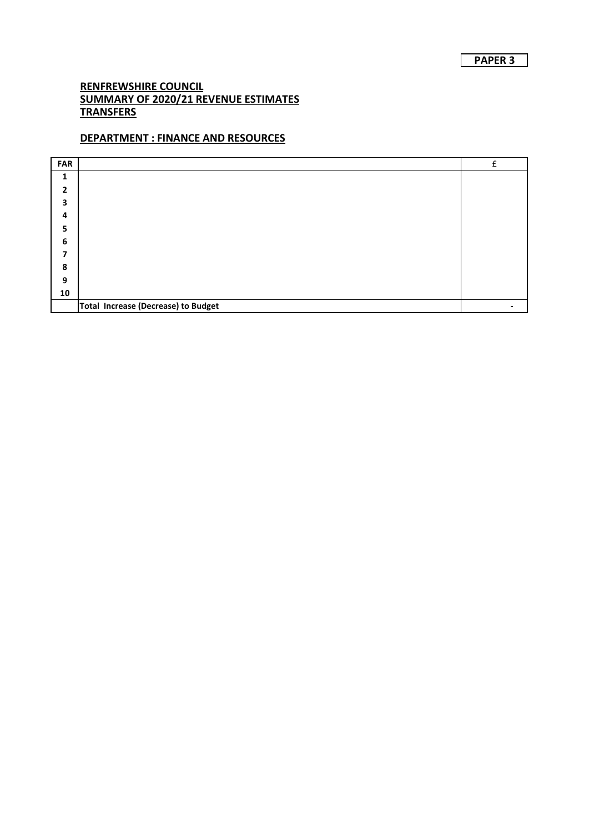## **DEPARTMENT : FINANCE AND RESOURCES**

| <b>FAR</b>   |                                     | f |
|--------------|-------------------------------------|---|
| 1            |                                     |   |
| $\mathbf{2}$ |                                     |   |
| 3            |                                     |   |
| 4            |                                     |   |
| 5            |                                     |   |
| 6            |                                     |   |
| 7            |                                     |   |
| 8            |                                     |   |
| 9            |                                     |   |
| ${\bf 10}$   |                                     |   |
|              | Total Increase (Decrease) to Budget |   |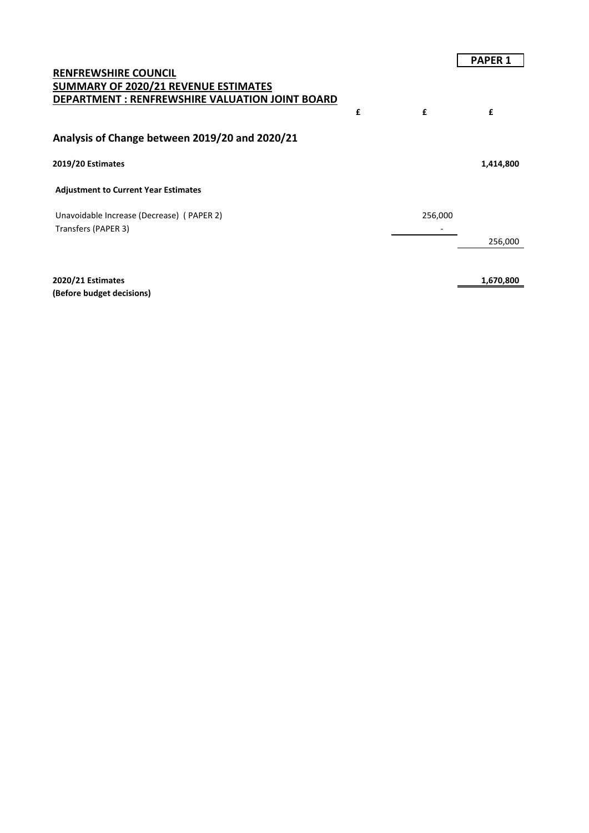| <b>RENFREWSHIRE COUNCIL</b><br><b>SUMMARY OF 2020/21 REVENUE ESTIMATES</b><br><b>DEPARTMENT: RENFREWSHIRE VALUATION JOINT BOARD</b><br>£<br>£<br>£<br>Analysis of Change between 2019/20 and 2020/21<br>2019/20 Estimates<br>1,414,800<br><b>Adjustment to Current Year Estimates</b><br>Unavoidable Increase (Decrease) (PAPER 2)<br>256,000<br>Transfers (PAPER 3)<br>256,000<br>2020/21 Estimates<br>1,670,800 |  | <b>PAPER 1</b> |
|-------------------------------------------------------------------------------------------------------------------------------------------------------------------------------------------------------------------------------------------------------------------------------------------------------------------------------------------------------------------------------------------------------------------|--|----------------|
|                                                                                                                                                                                                                                                                                                                                                                                                                   |  |                |
|                                                                                                                                                                                                                                                                                                                                                                                                                   |  |                |
|                                                                                                                                                                                                                                                                                                                                                                                                                   |  |                |
|                                                                                                                                                                                                                                                                                                                                                                                                                   |  |                |
|                                                                                                                                                                                                                                                                                                                                                                                                                   |  |                |
|                                                                                                                                                                                                                                                                                                                                                                                                                   |  |                |
|                                                                                                                                                                                                                                                                                                                                                                                                                   |  |                |
|                                                                                                                                                                                                                                                                                                                                                                                                                   |  |                |
|                                                                                                                                                                                                                                                                                                                                                                                                                   |  |                |
|                                                                                                                                                                                                                                                                                                                                                                                                                   |  |                |
|                                                                                                                                                                                                                                                                                                                                                                                                                   |  |                |
|                                                                                                                                                                                                                                                                                                                                                                                                                   |  |                |

**(Before budget decisions)**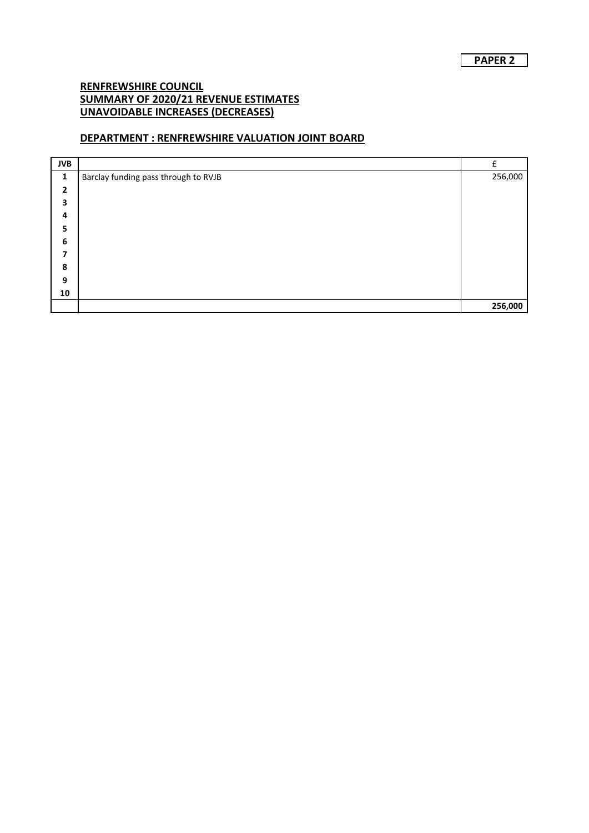## **DEPARTMENT : RENFREWSHIRE VALUATION JOINT BOARD**

| <b>JVB</b>     |                                      | f       |
|----------------|--------------------------------------|---------|
| $\mathbf{1}$   | Barclay funding pass through to RVJB | 256,000 |
| $\overline{2}$ |                                      |         |
| 3              |                                      |         |
| 4              |                                      |         |
| 5              |                                      |         |
| 6              |                                      |         |
| 7              |                                      |         |
| 8              |                                      |         |
| 9              |                                      |         |
| 10             |                                      |         |
|                |                                      | 256,000 |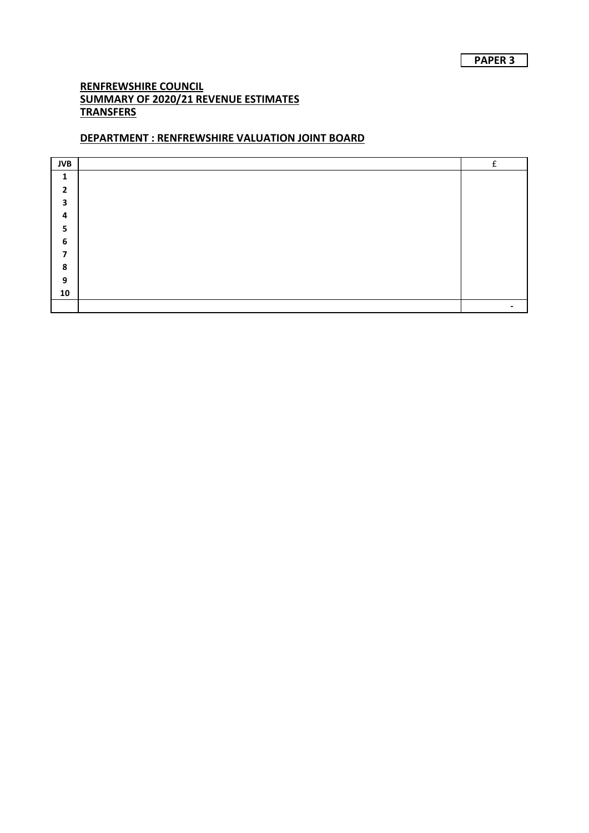## **DEPARTMENT : RENFREWSHIRE VALUATION JOINT BOARD**

| <b>JVB</b>     | c |
|----------------|---|
| 1              |   |
| $\overline{2}$ |   |
| 3              |   |
| 4              |   |
| 5              |   |
| 6              |   |
| 7              |   |
| 8              |   |
| 9              |   |
| 10             |   |
|                |   |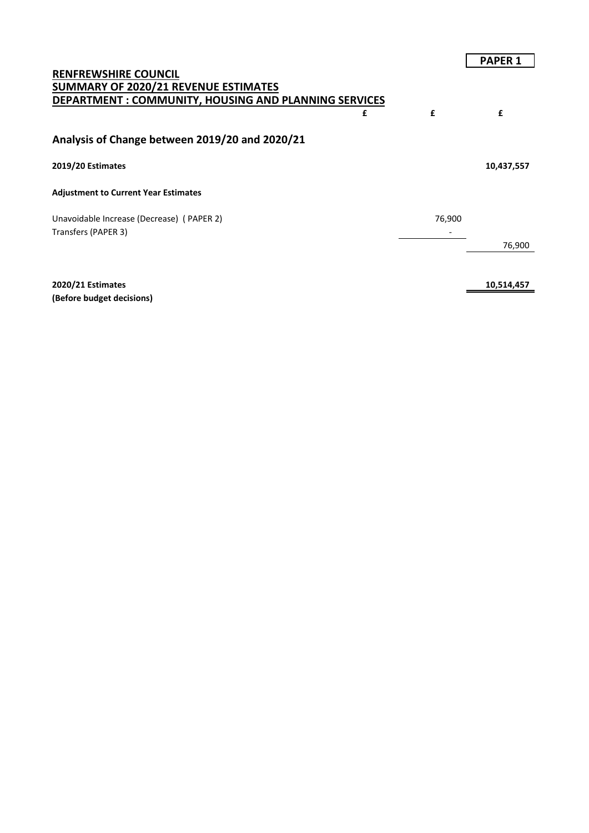|                                                       |        | <b>PAPER 1</b> |
|-------------------------------------------------------|--------|----------------|
| <b>RENFREWSHIRE COUNCIL</b>                           |        |                |
| <b>SUMMARY OF 2020/21 REVENUE ESTIMATES</b>           |        |                |
| DEPARTMENT : COMMUNITY, HOUSING AND PLANNING SERVICES |        |                |
| £                                                     | £      | £              |
| Analysis of Change between 2019/20 and 2020/21        |        |                |
| 2019/20 Estimates                                     |        | 10,437,557     |
| <b>Adjustment to Current Year Estimates</b>           |        |                |
| Unavoidable Increase (Decrease) (PAPER 2)             | 76,900 |                |
| Transfers (PAPER 3)                                   |        |                |
|                                                       |        | 76,900         |
|                                                       |        |                |
| 2020/21 Estimates                                     |        | 10,514,457     |

**(Before budget decisions)**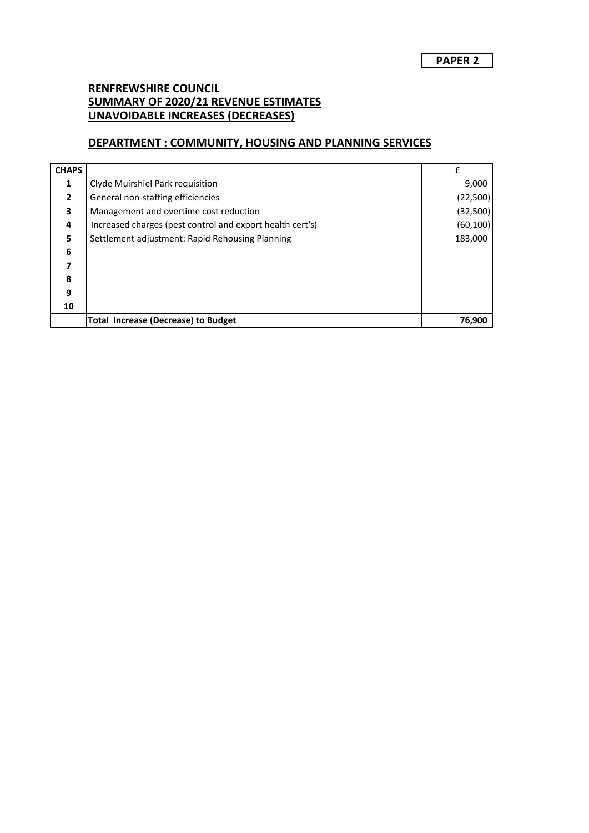## **DEPARTMENT : COMMUNITY, HOUSING AND PLANNING SERVICES**

| <b>CHAPS</b>   |                                                           |           |
|----------------|-----------------------------------------------------------|-----------|
| 1              | Clyde Muirshiel Park requisition                          | 9,000     |
| $\overline{2}$ | General non-staffing efficiencies                         | (22, 500) |
| 3              | Management and overtime cost reduction                    | (32, 500) |
| 4              | Increased charges (pest control and export health cert's) | (60, 100) |
| 5              | Settlement adjustment: Rapid Rehousing Planning           | 183,000   |
| 6              |                                                           |           |
|                |                                                           |           |
| 8              |                                                           |           |
| 9              |                                                           |           |
| 10             |                                                           |           |
|                | <b>Total Increase (Decrease) to Budget</b>                | 76,900    |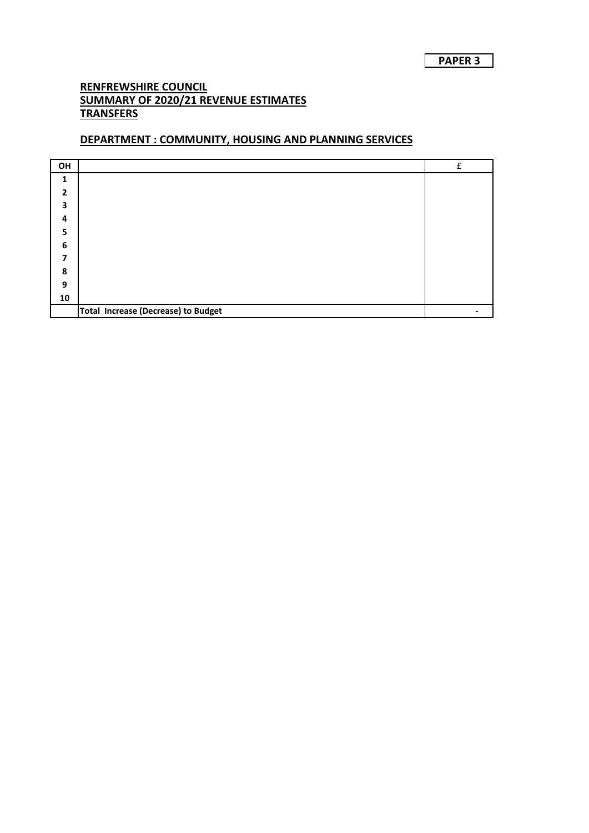#### **DEPARTMENT : COMMUNITY, HOUSING AND PLANNING SERVICES**

| OH                       |                                            | $\mathbf{f}$ |
|--------------------------|--------------------------------------------|--------------|
| $\mathbf{1}$             |                                            |              |
| $\overline{\phantom{a}}$ |                                            |              |
| 3                        |                                            |              |
| 4                        |                                            |              |
| 5                        |                                            |              |
| 6                        |                                            |              |
| 7                        |                                            |              |
| 8                        |                                            |              |
| 9                        |                                            |              |
| ${\bf 10}$               |                                            |              |
|                          | <b>Total Increase (Decrease) to Budget</b> |              |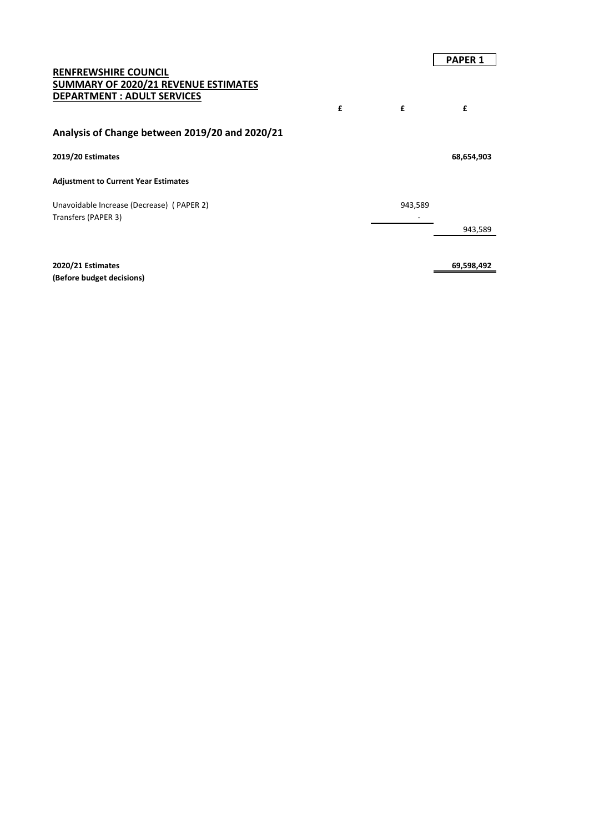#### **RENFREWSHIRE COUNCIL SUMMARY OF 2020/21 REVENUE ESTIMATES DEPARTMENT : ADULT SERVICES**

#### **Analysis of Change between 2019/20 and 2020/21**

#### **2019/20 Estimates 68,654,903**

#### **Adjustment to Current Year Estimates**

Unavoidable Increase (Decrease) (PAPER 2) 943,589 Transfers (PAPER 3) and the state of the state of the state of the state of the state of the state of the state of the state of the state of the state of the state of the state of the state of the state of the state of the

**2020/21 Estimates 69,598,492 (Before budget decisions)**

**£ £ £**

943,589

**PAPER 1**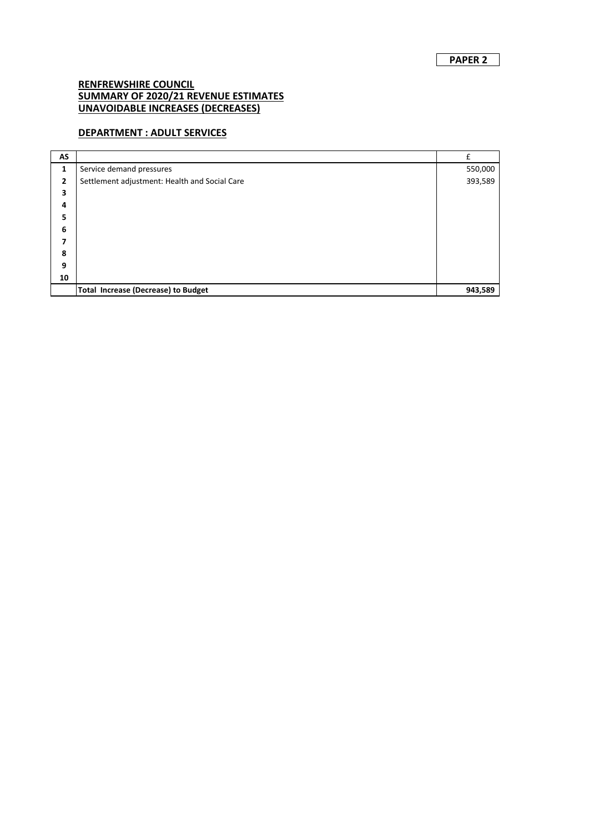#### **DEPARTMENT : ADULT SERVICES**

| AS |                                               | £       |
|----|-----------------------------------------------|---------|
| 1  | Service demand pressures                      | 550,000 |
| 2  | Settlement adjustment: Health and Social Care | 393,589 |
| 3  |                                               |         |
| 4  |                                               |         |
| 5  |                                               |         |
| 6  |                                               |         |
| 7  |                                               |         |
| 8  |                                               |         |
| 9  |                                               |         |
| 10 |                                               |         |
|    | <b>Total Increase (Decrease) to Budget</b>    | 943,589 |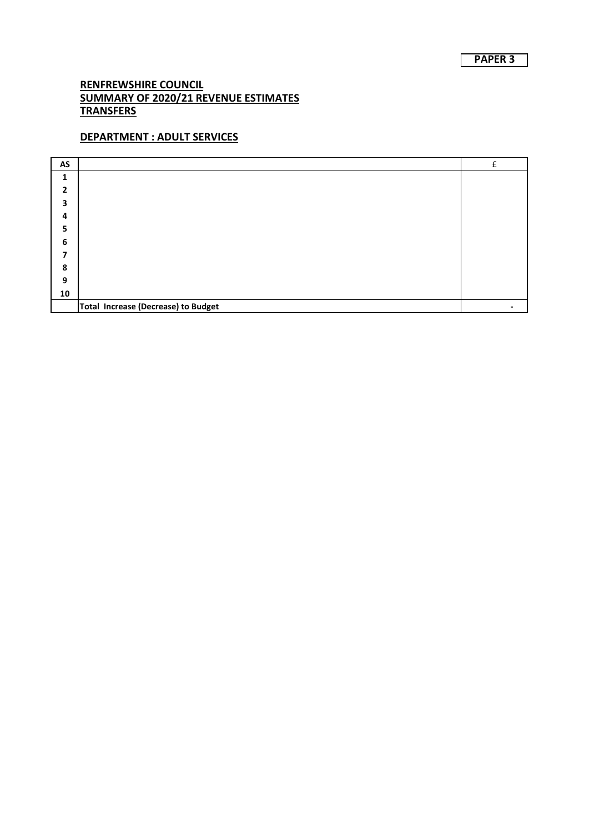# **DEPARTMENT : ADULT SERVICES**

| AS           |                                     | f |
|--------------|-------------------------------------|---|
| 1            |                                     |   |
| $\mathbf{2}$ |                                     |   |
| 3            |                                     |   |
| 4            |                                     |   |
| е<br>э       |                                     |   |
| 6            |                                     |   |
| 7            |                                     |   |
| 8            |                                     |   |
| 9            |                                     |   |
| 10           |                                     |   |
|              | Total Increase (Decrease) to Budget |   |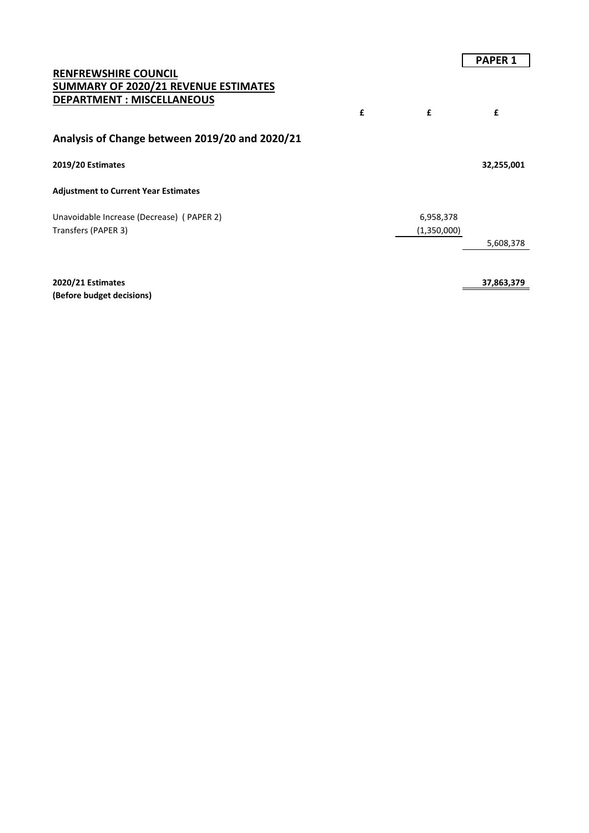|                                                                                                                |   |             | <b>PAPER 1</b> |
|----------------------------------------------------------------------------------------------------------------|---|-------------|----------------|
| <b>RENFREWSHIRE COUNCIL</b><br><b>SUMMARY OF 2020/21 REVENUE ESTIMATES</b><br><b>DEPARTMENT: MISCELLANEOUS</b> | £ | £           | £              |
| Analysis of Change between 2019/20 and 2020/21                                                                 |   |             |                |
| 2019/20 Estimates                                                                                              |   |             | 32,255,001     |
| <b>Adjustment to Current Year Estimates</b>                                                                    |   |             |                |
| Unavoidable Increase (Decrease) (PAPER 2)                                                                      |   | 6,958,378   |                |
| Transfers (PAPER 3)                                                                                            |   | (1,350,000) |                |
|                                                                                                                |   |             | 5,608,378      |
|                                                                                                                |   |             |                |
| 2020/21 Estimates                                                                                              |   |             | 37,863,379     |

**(Before budget decisions)**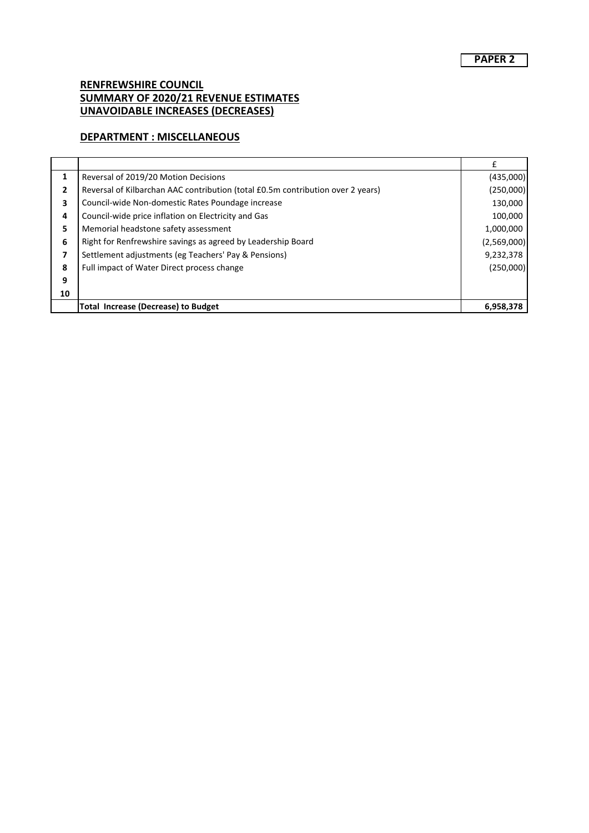#### **DEPARTMENT : MISCELLANEOUS**

| 1  | Reversal of 2019/20 Motion Decisions                                            | (435,000)   |
|----|---------------------------------------------------------------------------------|-------------|
| 2  | Reversal of Kilbarchan AAC contribution (total £0.5m contribution over 2 years) | (250,000)   |
| 3  | Council-wide Non-domestic Rates Poundage increase                               | 130,000     |
| 4  | Council-wide price inflation on Electricity and Gas                             | 100,000     |
| 5  | Memorial headstone safety assessment                                            | 1,000,000   |
| 6  | Right for Renfrewshire savings as agreed by Leadership Board                    | (2,569,000) |
| 7  | Settlement adjustments (eg Teachers' Pay & Pensions)                            | 9,232,378   |
| 8  | Full impact of Water Direct process change                                      | (250,000)   |
| 9  |                                                                                 |             |
| 10 |                                                                                 |             |
|    | <b>Total Increase (Decrease) to Budget</b>                                      | 6,958,378   |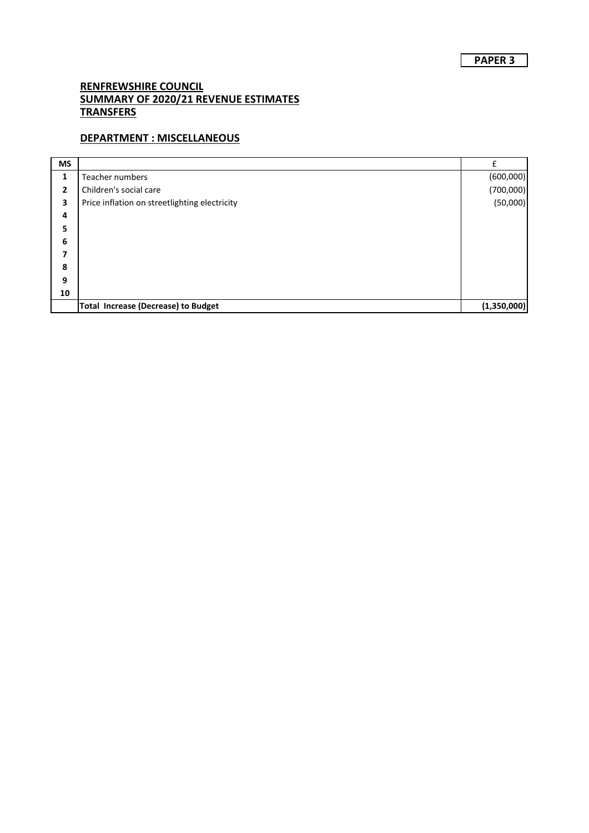# **DEPARTMENT : MISCELLANEOUS**

| <b>MS</b> |                                               | f           |
|-----------|-----------------------------------------------|-------------|
| 1         | Teacher numbers                               | (600,000)   |
| 2         | Children's social care                        | (700,000)   |
| 3         | Price inflation on streetlighting electricity | (50,000)    |
| 4         |                                               |             |
| 5         |                                               |             |
| 6         |                                               |             |
| 7         |                                               |             |
| 8         |                                               |             |
| 9         |                                               |             |
| 10        |                                               |             |
|           | <b>Total Increase (Decrease) to Budget</b>    | (1,350,000) |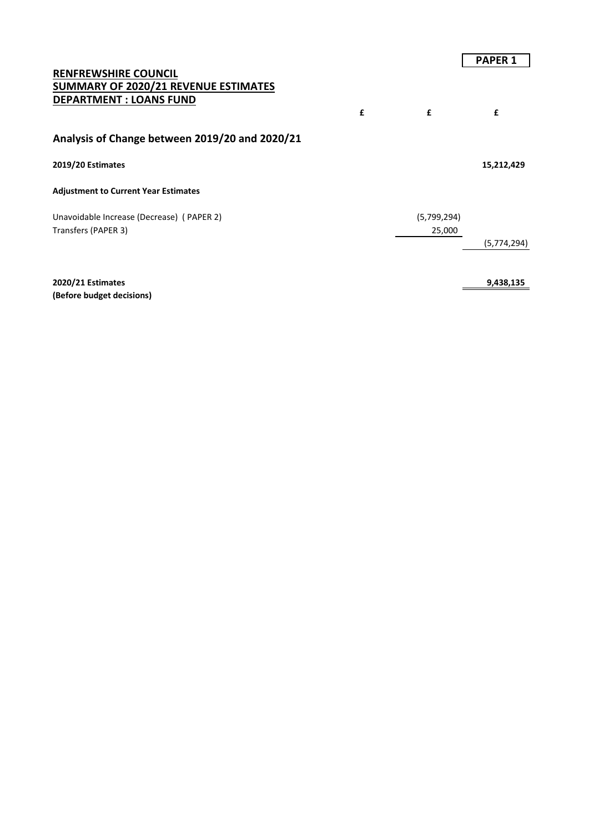|                                                                                                              |   |             | <b>PAPER 1</b> |
|--------------------------------------------------------------------------------------------------------------|---|-------------|----------------|
| <b>RENFREWSHIRE COUNCIL</b><br><b>SUMMARY OF 2020/21 REVENUE ESTIMATES</b><br><b>DEPARTMENT : LOANS FUND</b> | £ | £           | £              |
| Analysis of Change between 2019/20 and 2020/21                                                               |   |             |                |
| 2019/20 Estimates                                                                                            |   |             | 15,212,429     |
| <b>Adjustment to Current Year Estimates</b>                                                                  |   |             |                |
| Unavoidable Increase (Decrease) (PAPER 2)                                                                    |   | (5,799,294) |                |
| Transfers (PAPER 3)                                                                                          |   | 25,000      |                |
|                                                                                                              |   |             | (5,774,294)    |
|                                                                                                              |   |             |                |
| 2020/21 Estimates                                                                                            |   |             | 9,438,135      |

**(Before budget decisions)**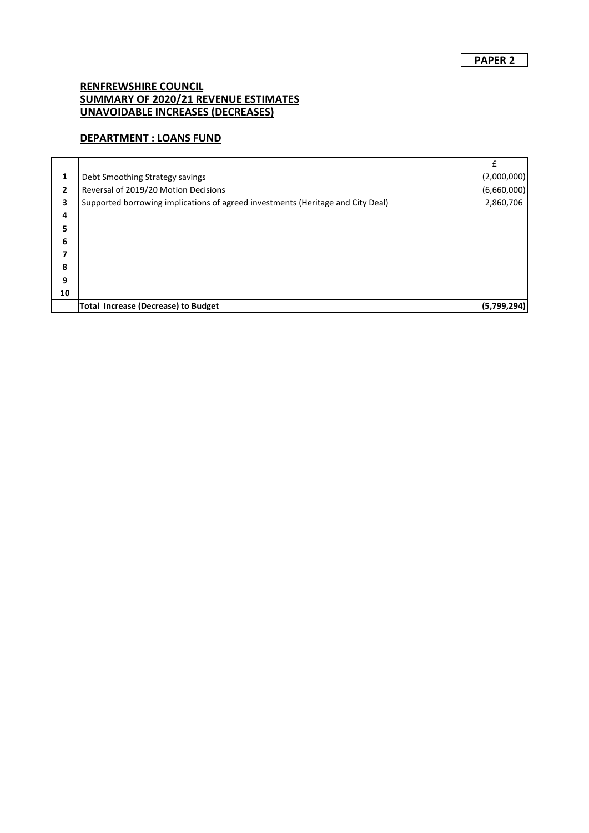## **DEPARTMENT : LOANS FUND**

|    |                                                                                 | £           |
|----|---------------------------------------------------------------------------------|-------------|
| 1  | Debt Smoothing Strategy savings                                                 | (2,000,000) |
| 2  | Reversal of 2019/20 Motion Decisions                                            | (6,660,000) |
| 3  | Supported borrowing implications of agreed investments (Heritage and City Deal) | 2,860,706   |
| 4  |                                                                                 |             |
| 5. |                                                                                 |             |
| 6  |                                                                                 |             |
| 7  |                                                                                 |             |
| 8  |                                                                                 |             |
| 9  |                                                                                 |             |
| 10 |                                                                                 |             |
|    | <b>Total Increase (Decrease) to Budget</b>                                      | (5,799,294) |